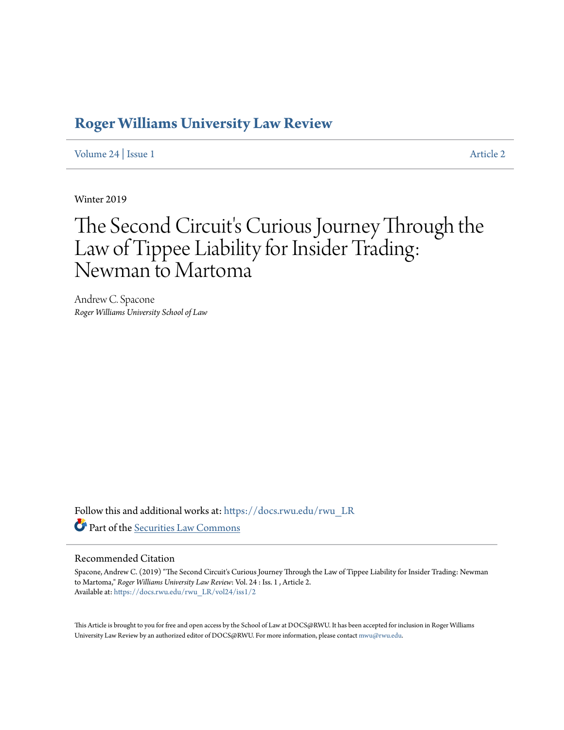### **[Roger Williams University Law Review](https://docs.rwu.edu/rwu_LR?utm_source=docs.rwu.edu%2Frwu_LR%2Fvol24%2Fiss1%2F2&utm_medium=PDF&utm_campaign=PDFCoverPages)**

[Volume 24](https://docs.rwu.edu/rwu_LR/vol24?utm_source=docs.rwu.edu%2Frwu_LR%2Fvol24%2Fiss1%2F2&utm_medium=PDF&utm_campaign=PDFCoverPages) | [Issue 1](https://docs.rwu.edu/rwu_LR/vol24/iss1?utm_source=docs.rwu.edu%2Frwu_LR%2Fvol24%2Fiss1%2F2&utm_medium=PDF&utm_campaign=PDFCoverPages) [Article 2](https://docs.rwu.edu/rwu_LR/vol24/iss1/2?utm_source=docs.rwu.edu%2Frwu_LR%2Fvol24%2Fiss1%2F2&utm_medium=PDF&utm_campaign=PDFCoverPages)

Winter 2019

# The Second Circuit's Curious Journey Through the Law of Tippee Liability for Insider Trading: Newman to Martoma

Andrew C. Spacone *Roger Williams University School of Law*

Follow this and additional works at: [https://docs.rwu.edu/rwu\\_LR](https://docs.rwu.edu/rwu_LR?utm_source=docs.rwu.edu%2Frwu_LR%2Fvol24%2Fiss1%2F2&utm_medium=PDF&utm_campaign=PDFCoverPages) Part of the [Securities Law Commons](http://network.bepress.com/hgg/discipline/619?utm_source=docs.rwu.edu%2Frwu_LR%2Fvol24%2Fiss1%2F2&utm_medium=PDF&utm_campaign=PDFCoverPages)

#### Recommended Citation

Spacone, Andrew C. (2019) "The Second Circuit's Curious Journey Through the Law of Tippee Liability for Insider Trading: Newman to Martoma," *Roger Williams University Law Review*: Vol. 24 : Iss. 1 , Article 2. Available at: [https://docs.rwu.edu/rwu\\_LR/vol24/iss1/2](https://docs.rwu.edu/rwu_LR/vol24/iss1/2?utm_source=docs.rwu.edu%2Frwu_LR%2Fvol24%2Fiss1%2F2&utm_medium=PDF&utm_campaign=PDFCoverPages)

This Article is brought to you for free and open access by the School of Law at DOCS@RWU. It has been accepted for inclusion in Roger Williams University Law Review by an authorized editor of DOCS@RWU. For more information, please contact [mwu@rwu.edu](mailto:mwu@rwu.edu).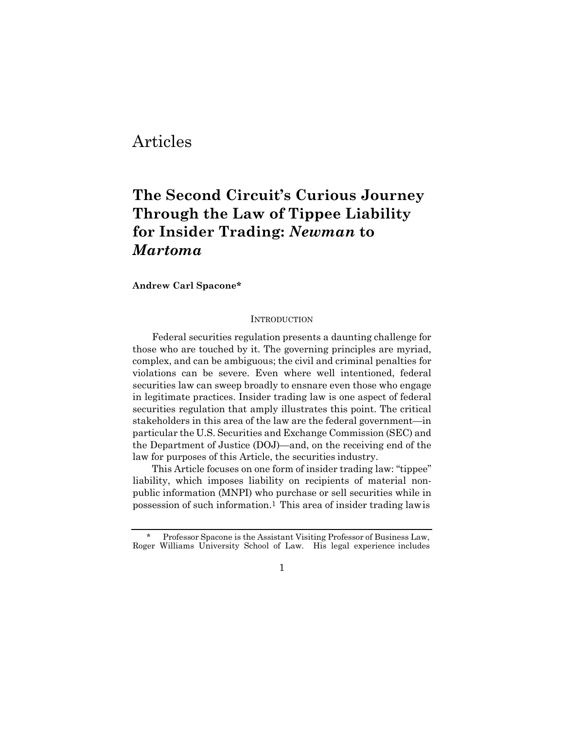### Articles

## **The Second Circuit's Curious Journey Through the Law of Tippee Liability for Insider Trading:** *Newman* **to**  *Martoma*

**Andrew Carl Spacone\***

#### **INTRODUCTION**

Federal securities regulation presents a daunting challenge for those who are touched by it. The governing principles are myriad, complex, and can be ambiguous; the civil and criminal penalties for violations can be severe. Even where well intentioned, federal securities law can sweep broadly to ensnare even those who engage in legitimate practices. Insider trading law is one aspect of federal securities regulation that amply illustrates this point. The critical stakeholders in this area of the law are the federal government—in particular the U.S. Securities and Exchange Commission (SEC) and the Department of Justice (DOJ)—and, on the receiving end of the law for purposes of this Article, the securities industry.

This Article focuses on one form of insider trading law: "tippee" liability, which imposes liability on recipients of material nonpublic information (MNPI) who purchase or sell securities while in possession of such information.1 This area of insider trading lawis

<sup>\*</sup> Professor Spacone is the Assistant Visiting Professor of Business Law, Roger Williams University School of Law. His legal experience includes

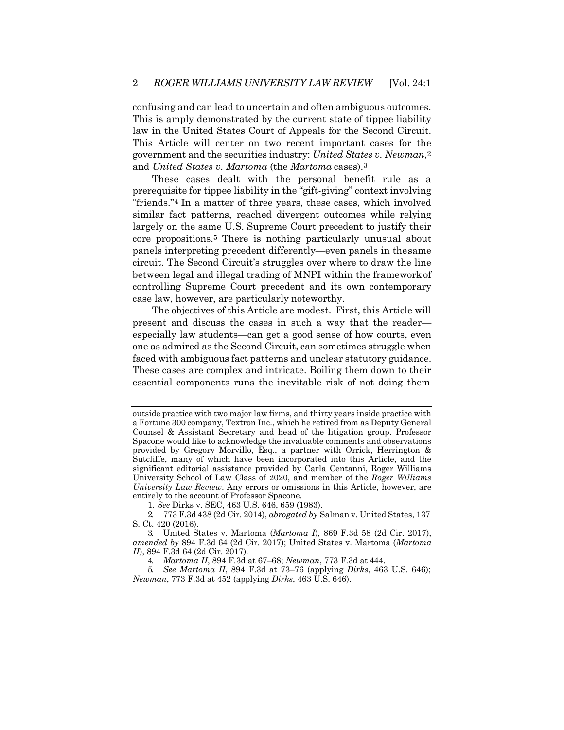confusing and can lead to uncertain and often ambiguous outcomes. This is amply demonstrated by the current state of tippee liability law in the United States Court of Appeals for the Second Circuit. This Article will center on two recent important cases for the government and the securities industry: *United States v. Newman*,2 and *United States v. Martoma* (the *Martoma* cases).3

These cases dealt with the personal benefit rule as a prerequisite for tippee liability in the "gift-giving" context involving "friends."4 In a matter of three years, these cases, which involved similar fact patterns, reached divergent outcomes while relying largely on the same U.S. Supreme Court precedent to justify their core propositions.5 There is nothing particularly unusual about panels interpreting precedent differently—even panels in thesame circuit. The Second Circuit's struggles over where to draw the line between legal and illegal trading of MNPI within the frameworkof controlling Supreme Court precedent and its own contemporary case law, however, are particularly noteworthy.

The objectives of this Article are modest. First, this Article will present and discuss the cases in such a way that the reader especially law students—can get a good sense of how courts, even one as admired as the Second Circuit, can sometimes struggle when faced with ambiguous fact patterns and unclear statutory guidance. These cases are complex and intricate. Boiling them down to their essential components runs the inevitable risk of not doing them

outside practice with two major law firms, and thirty years inside practice with a Fortune 300 company, Textron Inc., which he retired from as Deputy General Counsel & Assistant Secretary and head of the litigation group. Professor Spacone would like to acknowledge the invaluable comments and observations provided by Gregory Morvillo, Esq., a partner with Orrick, Herrington & Sutcliffe, many of which have been incorporated into this Article, and the significant editorial assistance provided by Carla Centanni, Roger Williams University School of Law Class of 2020, and member of the *Roger Williams University Law Review*. Any errors or omissions in this Article, however, are entirely to the account of Professor Spacone.

<sup>1.</sup> *See* Dirks v. SEC, 463 U.S. 646, 659 (1983).

<sup>2.</sup> 773 F.3d 438 (2d Cir. 2014), *abrogated by* Salman v. United States, 137 S. Ct. 420 (2016).

<sup>3.</sup> United States v. Martoma (*Martoma I*), 869 F.3d 58 (2d Cir. 2017), *amended by* 894 F.3d 64 (2d Cir. 2017); United States v. Martoma (*Martoma II*), 894 F.3d 64 (2d Cir. 2017).

<sup>4.</sup> *Martoma II*, 894 F.3d at 67–68; *Newman*, 773 F.3d at 444.

<sup>5.</sup> *See Martoma II*, 894 F.3d at 73–76 (applying *Dirks*, 463 U.S. 646); *Newman*, 773 F.3d at 452 (applying *Dirks*, 463 U.S. 646).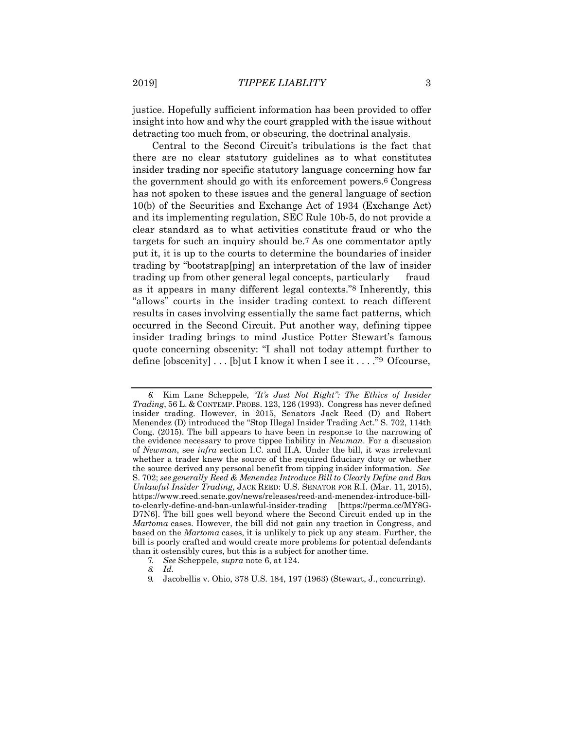justice. Hopefully sufficient information has been provided to offer insight into how and why the court grappled with the issue without detracting too much from, or obscuring, the doctrinal analysis.

Central to the Second Circuit's tribulations is the fact that there are no clear statutory guidelines as to what constitutes insider trading nor specific statutory language concerning how far the government should go with its enforcement powers.6 Congress has not spoken to these issues and the general language of section 10(b) of the Securities and Exchange Act of 1934 (Exchange Act) and its implementing regulation, SEC Rule 10b-5, do not provide a clear standard as to what activities constitute fraud or who the targets for such an inquiry should be.7 As one commentator aptly put it, it is up to the courts to determine the boundaries of insider trading by "bootstrap[ping] an interpretation of the law of insider trading up from other general legal concepts, particularly fraud as it appears in many different legal contexts."8 Inherently, this "allows" courts in the insider trading context to reach different results in cases involving essentially the same fact patterns, which occurred in the Second Circuit. Put another way, defining tippee insider trading brings to mind Justice Potter Stewart's famous quote concerning obscenity: "I shall not today attempt further to define  $[observation]$ ... $[b]$ ut I know it when I see it...."<sup>9</sup> Ofcourse,

*<sup>6.</sup>* Kim Lane Scheppele, *"It's Just Not Right": The Ethics of Insider Trading*, 56 L. & CONTEMP. PROBS. 123, 126 (1993). Congress has never defined insider trading. However, in 2015, Senators Jack Reed (D) and Robert Menendez (D) introduced the "Stop Illegal Insider Trading Act." S. 702, 114th Cong. (2015). The bill appears to have been in response to the narrowing of the evidence necessary to prove tippee liability in *Newman*. For a discussion of *Newman*, see *infra* section I.C. and II.A. Under the bill, it was irrelevant whether a trader knew the source of the required fiduciary duty or whether the source derived any personal benefit from tipping insider information. *See* S. 702; *see generally Reed & Menendez Introduce Bill to Clearly Define and Ban Unlawful Insider Trading*, JACK REED: U.S. SENATOR FOR R.I. (Mar. 11, 2015), [https://www.reed.senate.gov/news/releases/reed-and-menendez-introduce-bill](http://www.reed.senate.gov/news/releases/reed-and-menendez-introduce-bill-)to-clearly-define-and-ban-unlawful-insider-trading [https://perma.cc/MY8G-D7N6]. The bill goes well beyond where the Second Circuit ended up in the *Martoma* cases. However, the bill did not gain any traction in Congress, and based on the *Martoma* cases, it is unlikely to pick up any steam. Further, the bill is poorly crafted and would create more problems for potential defendants than it ostensibly cures, but this is a subject for another time.

<sup>7.</sup> *See* Scheppele, *supra* note 6, at 124.

*<sup>8.</sup> Id.*

<sup>9.</sup> Jacobellis v. Ohio, 378 U.S. 184, 197 (1963) (Stewart, J., concurring).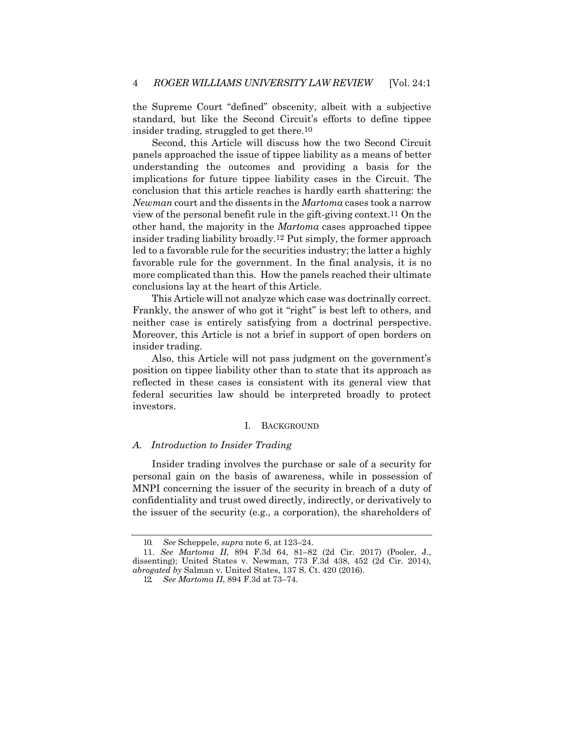the Supreme Court "defined" obscenity, albeit with a subjective standard, but like the Second Circuit's efforts to define tippee insider trading, struggled to get there.10

Second, this Article will discuss how the two Second Circuit panels approached the issue of tippee liability as a means of better understanding the outcomes and providing a basis for the implications for future tippee liability cases in the Circuit. The conclusion that this article reaches is hardly earth shattering: the *Newman* court and the dissents in the *Martoma* cases took a narrow view of the personal benefit rule in the gift-giving context.11 On the other hand, the majority in the *Martoma* cases approached tippee insider trading liability broadly.12 Put simply, the former approach led to a favorable rule for the securities industry; the latter a highly favorable rule for the government. In the final analysis, it is no more complicated than this. How the panels reached their ultimate conclusions lay at the heart of this Article.

This Article will not analyze which case was doctrinally correct. Frankly, the answer of who got it "right" is best left to others, and neither case is entirely satisfying from a doctrinal perspective. Moreover, this Article is not a brief in support of open borders on insider trading.

Also, this Article will not pass judgment on the government's position on tippee liability other than to state that its approach as reflected in these cases is consistent with its general view that federal securities law should be interpreted broadly to protect investors.

#### I. BACKGROUND

#### *A. Introduction to Insider Trading*

Insider trading involves the purchase or sale of a security for personal gain on the basis of awareness, while in possession of MNPI concerning the issuer of the security in breach of a duty of confidentiality and trust owed directly, indirectly, or derivatively to the issuer of the security (e.g., a corporation), the shareholders of

<sup>10.</sup> *See* Scheppele, *supra* note 6, at 123–24.

<sup>11.</sup> *See Martoma II*, 894 F.3d 64, 81–82 (2d Cir. 2017) (Pooler, J., dissenting); United States v. Newman, 773 F.3d 438, 452 (2d Cir. 2014), *abrogated by* Salman v. United States, 137 S. Ct. 420 (2016).

<sup>12.</sup> *See Martoma II*, 894 F.3d at 73–74.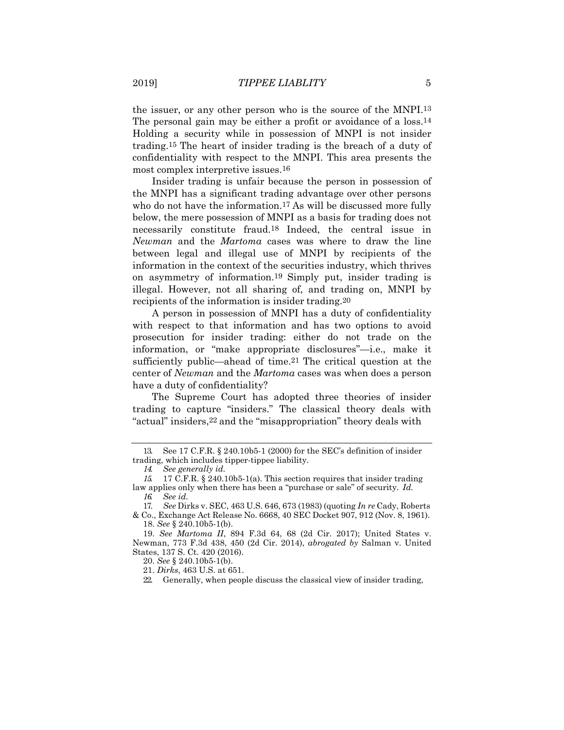the issuer, or any other person who is the source of the MNPI.13 The personal gain may be either a profit or avoidance of a loss.<sup>14</sup> Holding a security while in possession of MNPI is not insider trading.15 The heart of insider trading is the breach of a duty of confidentiality with respect to the MNPI. This area presents the most complex interpretive issues.16

Insider trading is unfair because the person in possession of the MNPI has a significant trading advantage over other persons who do not have the information.<sup>17</sup> As will be discussed more fully below, the mere possession of MNPI as a basis for trading does not necessarily constitute fraud.18 Indeed, the central issue in *Newman* and the *Martoma* cases was where to draw the line between legal and illegal use of MNPI by recipients of the information in the context of the securities industry, which thrives on asymmetry of information.19 Simply put, insider trading is illegal. However, not all sharing of, and trading on, MNPI by recipients of the information is insider trading.20

A person in possession of MNPI has a duty of confidentiality with respect to that information and has two options to avoid prosecution for insider trading: either do not trade on the information, or "make appropriate disclosures"—i.e., make it sufficiently public—ahead of time.21 The critical question at the center of *Newman* and the *Martoma* cases was when does a person have a duty of confidentiality?

The Supreme Court has adopted three theories of insider trading to capture "insiders." The classical theory deals with "actual" insiders,22 and the "misappropriation" theory deals with

<sup>13.</sup> See 17 C.F.R. § 240.10b5-1 (2000) for the SEC's definition of insider trading, which includes tipper-tippee liability.

*<sup>14.</sup> See generally id.*

*<sup>15.</sup>* 17 C.F.R. § 240.10b5-1(a). This section requires that insider trading law applies only when there has been a "purchase or sale" of security. *Id. 16. See id.*

<sup>17.</sup> *See* Dirks v. SEC, 463 U.S. 646, 673 (1983) (quoting *In re* Cady, Roberts

<sup>&</sup>amp; Co., Exchange Act Release No. 6668, 40 SEC Docket 907, 912 (Nov. 8, 1961). 18. *See* § 240.10b5-1(b).

<sup>19.</sup> *See Martoma II*, 894 F.3d 64, 68 (2d Cir. 2017); United States v. Newman, 773 F.3d 438, 450 (2d Cir. 2014), *abrogated by* Salman v. United States, 137 S. Ct. 420 (2016).

<sup>20.</sup> *See* § 240.10b5-1(b).

<sup>21.</sup> *Dirks*, 463 U.S. at 651.

<sup>22.</sup> Generally, when people discuss the classical view of insider trading,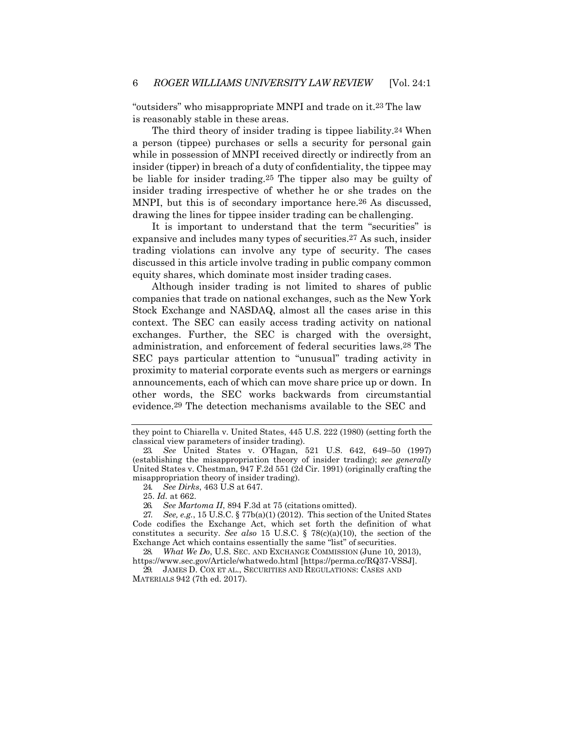"outsiders" who misappropriate MNPI and trade on it.23 The law is reasonably stable in these areas.

The third theory of insider trading is tippee liability.24 When a person (tippee) purchases or sells a security for personal gain while in possession of MNPI received directly or indirectly from an insider (tipper) in breach of a duty of confidentiality, the tippee may be liable for insider trading.25 The tipper also may be guilty of insider trading irrespective of whether he or she trades on the MNPI, but this is of secondary importance here.26 As discussed, drawing the lines for tippee insider trading can be challenging.

It is important to understand that the term "securities" is expansive and includes many types of securities.27 As such, insider trading violations can involve any type of security. The cases discussed in this article involve trading in public company common equity shares, which dominate most insider trading cases.

Although insider trading is not limited to shares of public companies that trade on national exchanges, such as the New York Stock Exchange and NASDAQ, almost all the cases arise in this context. The SEC can easily access trading activity on national exchanges. Further, the SEC is charged with the oversight, administration, and enforcement of federal securities laws.28 The SEC pays particular attention to "unusual" trading activity in proximity to material corporate events such as mergers or earnings announcements, each of which can move share price up or down. In other words, the SEC works backwards from circumstantial evidence.29 The detection mechanisms available to the SEC and

24. *See Dirks*, 463 U.S at 647.

29. JAMES D. COX ET AL., SECURITIES AND REGULATIONS: CASES AND MATERIALS 942 (7th ed. 2017).

they point to Chiarella v. United States, 445 U.S. 222 (1980) (setting forth the classical view parameters of insider trading).

<sup>23.</sup> *See* United States v. O'Hagan, 521 U.S. 642, 649–50 (1997) (establishing the misappropriation theory of insider trading); *see generally*  United States v. Chestman, 947 F.2d 551 (2d Cir. 1991) (originally crafting the misappropriation theory of insider trading).

<sup>25.</sup> *Id.* at 662.

<sup>26.</sup> *See Martoma II*, 894 F.3d at 75 (citations omitted).

<sup>27.</sup> *See, e.g.*, 15 U.S.C. § 77b(a)(1) (2012). This section of the United States Code codifies the Exchange Act, which set forth the definition of what constitutes a security. *See also* 15 U.S.C. § 78(c)(a)(10), the section of the Exchange Act which contains essentially the same "list" of securities.

<sup>28.</sup> *What We Do*, U.S. SEC. AND EXCHANGE COMMISSION (June 10, 2013), [https://www.sec.gov/Article/whatwedo.html](http://www.sec.gov/Article/whatwedo.html) [https://perma.cc/RQ37-VSSJ].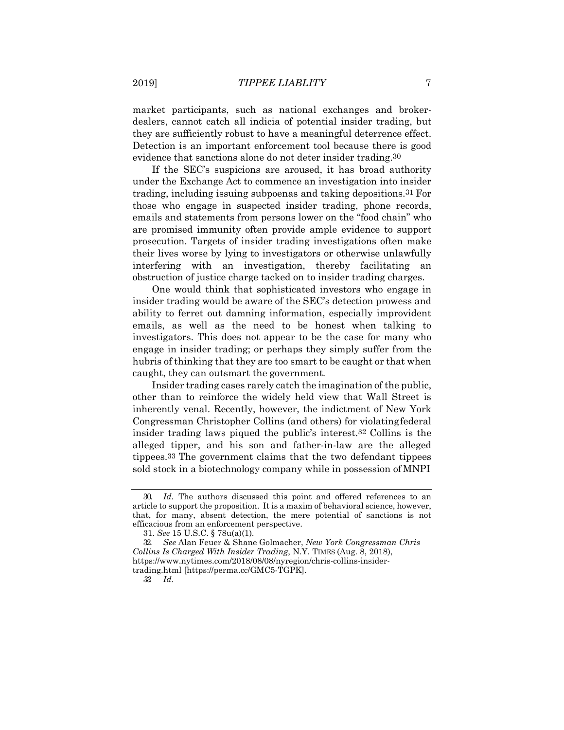market participants, such as national exchanges and brokerdealers, cannot catch all indicia of potential insider trading, but they are sufficiently robust to have a meaningful deterrence effect. Detection is an important enforcement tool because there is good evidence that sanctions alone do not deter insider trading.30

If the SEC's suspicions are aroused, it has broad authority under the Exchange Act to commence an investigation into insider trading, including issuing subpoenas and taking depositions.31 For those who engage in suspected insider trading, phone records, emails and statements from persons lower on the "food chain" who are promised immunity often provide ample evidence to support prosecution. Targets of insider trading investigations often make their lives worse by lying to investigators or otherwise unlawfully interfering with an investigation, thereby facilitating an obstruction of justice charge tacked on to insider trading charges.

One would think that sophisticated investors who engage in insider trading would be aware of the SEC's detection prowess and ability to ferret out damning information, especially improvident emails, as well as the need to be honest when talking to investigators. This does not appear to be the case for many who engage in insider trading; or perhaps they simply suffer from the hubris of thinking that they are too smart to be caught or that when caught, they can outsmart the government*.*

Insider trading cases rarely catch the imagination of the public, other than to reinforce the widely held view that Wall Street is inherently venal. Recently, however, the indictment of New York Congressman Christopher Collins (and others) for violatingfederal insider trading laws piqued the public's interest.32 Collins is the alleged tipper, and his son and father-in-law are the alleged tippees.33 The government claims that the two defendant tippees sold stock in a biotechnology company while in possession ofMNPI

<sup>30.</sup> *Id.* The authors discussed this point and offered references to an article to support the proposition. It is a maxim of behavioral science, however, that, for many, absent detection, the mere potential of sanctions is not efficacious from an enforcement perspective.

<sup>31.</sup> *See* 15 U.S.C. § 78u(a)(1).

<sup>32.</sup> *See* Alan Feuer & Shane Golmacher, *New York Congressman Chris Collins Is Charged With Insider Trading*, N.Y. TIMES (Aug. 8, 2018), [https://www.nytimes.com/2018/08/08/nyregion/chris-collins-insider](http://www.nytimes.com/2018/08/08/nyregion/chris-collins-insider-)trading.html [https://perma.cc/GMC5-TGPK].

*<sup>33.</sup> Id.*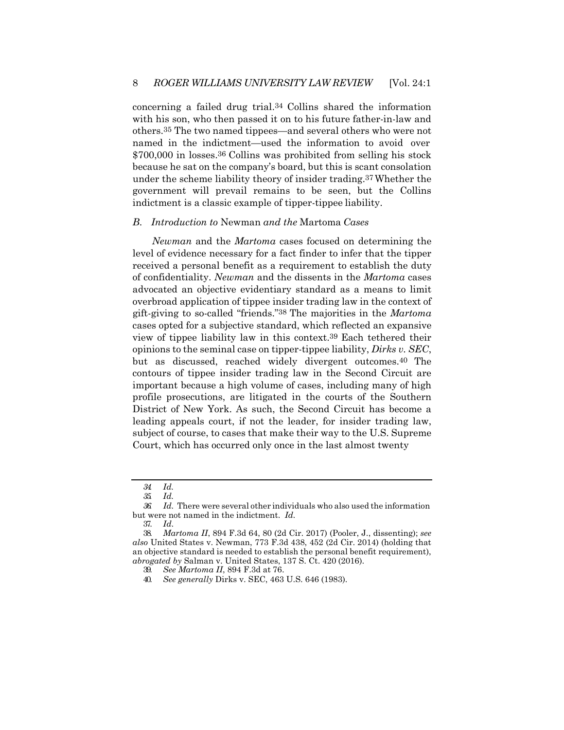concerning a failed drug trial.34 Collins shared the information with his son, who then passed it on to his future father-in-law and others.35 The two named tippees—and several others who were not named in the indictment—used the information to avoid over \$700,000 in losses.36 Collins was prohibited from selling his stock because he sat on the company's board, but this is scant consolation under the scheme liability theory of insider trading.37Whether the government will prevail remains to be seen, but the Collins indictment is a classic example of tipper-tippee liability.

#### *B. Introduction to* Newman *and the* Martoma *Cases*

*Newman* and the *Martoma* cases focused on determining the level of evidence necessary for a fact finder to infer that the tipper received a personal benefit as a requirement to establish the duty of confidentiality. *Newman* and the dissents in the *Martoma* cases advocated an objective evidentiary standard as a means to limit overbroad application of tippee insider trading law in the context of gift-giving to so-called "friends."38 The majorities in the *Martoma*  cases opted for a subjective standard, which reflected an expansive view of tippee liability law in this context.39 Each tethered their opinions to the seminal case on tipper-tippee liability, *Dirks v. SEC*, but as discussed, reached widely divergent outcomes.40 The contours of tippee insider trading law in the Second Circuit are important because a high volume of cases, including many of high profile prosecutions, are litigated in the courts of the Southern District of New York. As such, the Second Circuit has become a leading appeals court, if not the leader, for insider trading law, subject of course, to cases that make their way to the U.S. Supreme Court, which has occurred only once in the last almost twenty

*<sup>34.</sup> Id.*

*<sup>35.</sup> Id.*

*<sup>36.</sup> Id.* There were several other individuals who also used the information but were not named in the indictment. *Id.*

<sup>37.</sup> *Id*.

<sup>38.</sup> *Martoma II*, 894 F.3d 64, 80 (2d Cir. 2017) (Pooler, J., dissenting); *see also* United States v. Newman, 773 F.3d 438, 452 (2d Cir. 2014) (holding that an objective standard is needed to establish the personal benefit requirement), *abrogated by* Salman v. United States, 137 S. Ct. 420 (2016).

<sup>39.</sup> *See Martoma II*, 894 F.3d at 76.

<sup>40.</sup> *See generally* Dirks v. SEC, 463 U.S. 646 (1983).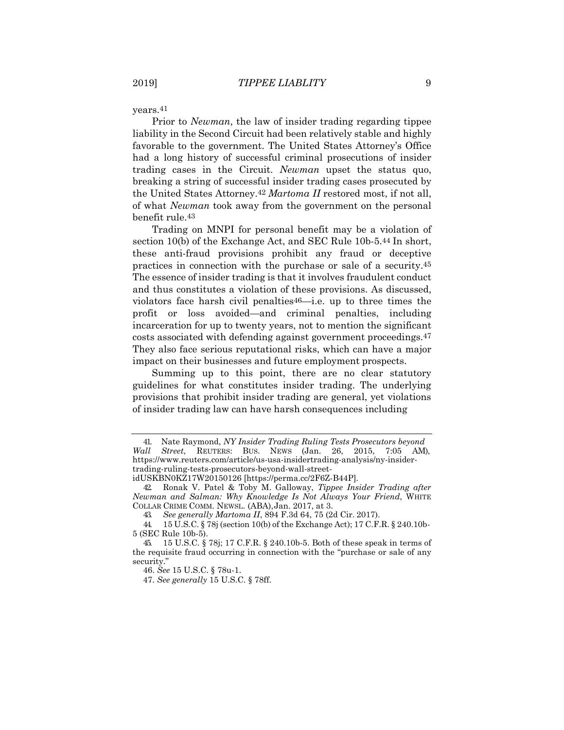years.41

Prior to *Newman*, the law of insider trading regarding tippee liability in the Second Circuit had been relatively stable and highly favorable to the government. The United States Attorney's Office had a long history of successful criminal prosecutions of insider trading cases in the Circuit. *Newman* upset the status quo, breaking a string of successful insider trading cases prosecuted by the United States Attorney.42 *Martoma II* restored most, if not all, of what *Newman* took away from the government on the personal benefit rule.43

Trading on MNPI for personal benefit may be a violation of section 10(b) of the Exchange Act, and SEC Rule 10b-5.44 In short, these anti-fraud provisions prohibit any fraud or deceptive practices in connection with the purchase or sale of a security.45 The essence of insider trading is that it involves fraudulent conduct and thus constitutes a violation of these provisions. As discussed, violators face harsh civil penalties46—i.e. up to three times the profit or loss avoided—and criminal penalties, including incarceration for up to twenty years, not to mention the significant costs associated with defending against government proceedings.47 They also face serious reputational risks, which can have a major impact on their businesses and future employment prospects.

Summing up to this point, there are no clear statutory guidelines for what constitutes insider trading. The underlying provisions that prohibit insider trading are general, yet violations of insider trading law can have harsh consequences including

<sup>41.</sup> Nate Raymond, *NY Insider Trading Ruling Tests Prosecutors beyond Wall Street*, REUTERS: BUS. NEWS (Jan. 26, 2015, 7:05 AM), [https://www.reuters.com/article/us-usa-insidertrading-analysis/ny-insider](https://www.reuters.com/article/us-usa-insidertrading-analysis/ny-insider-trading-ruling-tests-prosecutors-beyond-wall-street-idUSKBN0KZ17W20150126)[trading-ruling-tests-prosecutors-beyond-wall-street-](https://www.reuters.com/article/us-usa-insidertrading-analysis/ny-insider-trading-ruling-tests-prosecutors-beyond-wall-street-idUSKBN0KZ17W20150126)

[idUSKBN0KZ17W20150126 \[](https://www.reuters.com/article/us-usa-insidertrading-analysis/ny-insider-trading-ruling-tests-prosecutors-beyond-wall-street-idUSKBN0KZ17W20150126)https://perma.cc/2F6Z-B44P].

<sup>42.</sup> Ronak V. Patel & Toby M. Galloway, *Tippee Insider Trading after Newman and Salman: Why Knowledge Is Not Always Your Friend*, WHITE COLLAR CRIME COMM. NEWSL. (ABA),Jan. 2017, at 3.

<sup>43.</sup> *See generally Martoma II*, 894 F.3d 64, 75 (2d Cir. 2017).

<sup>44.</sup> 15 U.S.C. § 78j (section 10(b) of the Exchange Act); 17 C.F.R. § 240.10b-5 (SEC Rule 10b-5).

<sup>45.</sup> 15 U.S.C. § 78j; 17 C.F.R. § 240.10b-5. Both of these speak in terms of the requisite fraud occurring in connection with the "purchase or sale of any security."

<sup>46.</sup> *See* 15 U.S.C. § 78u-1.

<sup>47.</sup> *See generally* 15 U.S.C. § 78ff.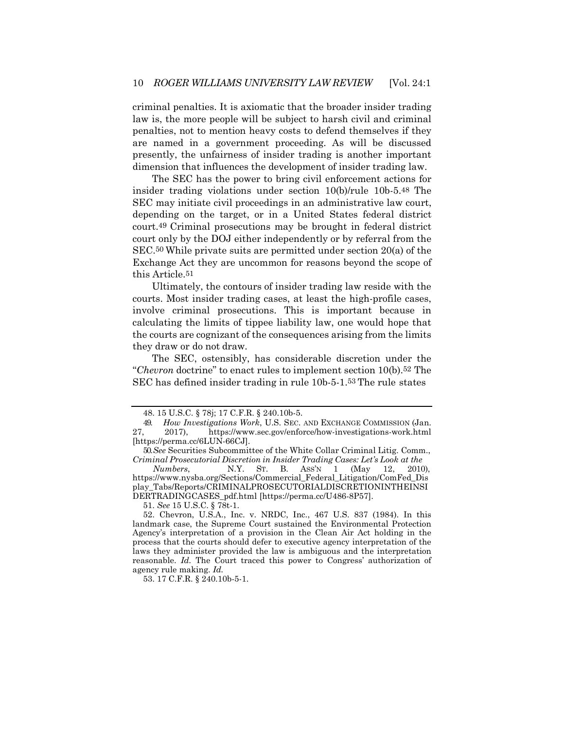criminal penalties. It is axiomatic that the broader insider trading law is, the more people will be subject to harsh civil and criminal penalties, not to mention heavy costs to defend themselves if they are named in a government proceeding. As will be discussed presently, the unfairness of insider trading is another important dimension that influences the development of insider trading law.

The SEC has the power to bring civil enforcement actions for insider trading violations under section 10(b)/rule 10b-5.48 The SEC may initiate civil proceedings in an administrative law court, depending on the target, or in a United States federal district court.49 Criminal prosecutions may be brought in federal district court only by the DOJ either independently or by referral from the SEC.50 While private suits are permitted under section 20(a) of the Exchange Act they are uncommon for reasons beyond the scope of this Article.51

Ultimately, the contours of insider trading law reside with the courts. Most insider trading cases, at least the high-profile cases, involve criminal prosecutions. This is important because in calculating the limits of tippee liability law, one would hope that the courts are cognizant of the consequences arising from the limits they draw or do not draw.

The SEC, ostensibly, has considerable discretion under the "*Chevron* doctrine" to enact rules to implement section 10(b).52 The SEC has defined insider trading in rule 10b-5-1.53 The rule states

51. *See* 15 U.S.C. § 78t-1.

53. 17 C.F.R. § 240.10b-5-1.

<sup>48. 15</sup> U.S.C. § 78j; 17 C.F.R. § 240.10b-5.

<sup>49.</sup> *How Investigations Work*, U.S. SEC. AND EXCHANGE COMMISSION (Jan. 27, 2017), https:[//www.sec.gov/enforce/how-investigations-work.html](http://www.sec.gov/enforce/how-investigations-work.html) [https://perma.cc/6LUN-66CJ].

<sup>50.</sup>*See* Securities Subcommittee of the White Collar Criminal Litig. Comm., *Criminal Prosecutorial Discretion in Insider Trading Cases: Let's Look at the*

*Numbers*, N.Y. ST. B. ASS'N 1 (May 12, 2010), [https://www.nysba.org/Sections/Commercial\\_Federal\\_Litigation/ComFed\\_Dis](https://www.nysba.org/Sections/Commercial_Federal_Litigation/ComFed_Display_Tabs/Reports/CRIMINALPROSECUTORIALDISCRETIONINTHEINSIDERTRADINGCASES_pdf.html) [play\\_Tabs/Reports/CRIMINALPROSECUTORIALDISCRETIONINTHEINSI](https://www.nysba.org/Sections/Commercial_Federal_Litigation/ComFed_Display_Tabs/Reports/CRIMINALPROSECUTORIALDISCRETIONINTHEINSIDERTRADINGCASES_pdf.html) [DERTRADINGCASES\\_pdf.html](https://www.nysba.org/Sections/Commercial_Federal_Litigation/ComFed_Display_Tabs/Reports/CRIMINALPROSECUTORIALDISCRETIONINTHEINSIDERTRADINGCASES_pdf.html) [https://perma.cc/U486-8P57].

<sup>52.</sup> Chevron, U.S.A., Inc. v. NRDC, Inc., 467 U.S. 837 (1984). In this landmark case, the Supreme Court sustained the Environmental Protection Agency's interpretation of a provision in the Clean Air Act holding in the process that the courts should defer to executive agency interpretation of the laws they administer provided the law is ambiguous and the interpretation reasonable. *Id.* The Court traced this power to Congress' authorization of agency rule making. *Id.*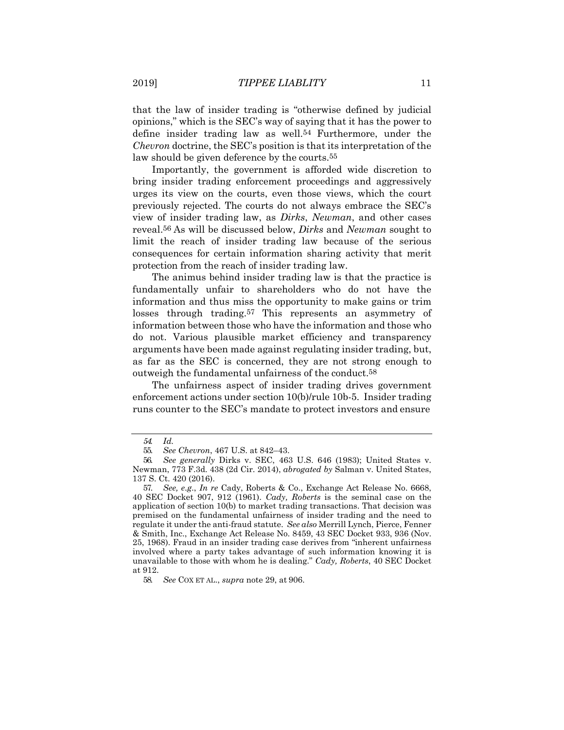that the law of insider trading is "otherwise defined by judicial opinions," which is the SEC's way of saying that it has the power to define insider trading law as well.54 Furthermore, under the *Chevron* doctrine, the SEC's position is that its interpretation of the law should be given deference by the courts.55

Importantly, the government is afforded wide discretion to bring insider trading enforcement proceedings and aggressively urges its view on the courts, even those views, which the court previously rejected. The courts do not always embrace the SEC's view of insider trading law, as *Dirks*, *Newman*, and other cases reveal.56 As will be discussed below, *Dirks* and *Newman* sought to limit the reach of insider trading law because of the serious consequences for certain information sharing activity that merit protection from the reach of insider trading law.

The animus behind insider trading law is that the practice is fundamentally unfair to shareholders who do not have the information and thus miss the opportunity to make gains or trim losses through trading.57 This represents an asymmetry of information between those who have the information and those who do not. Various plausible market efficiency and transparency arguments have been made against regulating insider trading, but, as far as the SEC is concerned, they are not strong enough to outweigh the fundamental unfairness of the conduct.58

The unfairness aspect of insider trading drives government enforcement actions under section 10(b)/rule 10b-5. Insider trading runs counter to the SEC's mandate to protect investors and ensure

*<sup>54.</sup> Id.*

<sup>55.</sup> *See Chevron*, 467 U.S. at 842–43.

<sup>56.</sup> *See generally* Dirks v. SEC, 463 U.S. 646 (1983); United States v. Newman, 773 F.3d. 438 (2d Cir. 2014), *abrogated by* Salman v. United States, 137 S. Ct. 420 (2016).

<sup>57.</sup> *See, e*.*g*., *In re* Cady, Roberts & Co., Exchange Act Release No. 6668, 40 SEC Docket 907, 912 (1961). *Cady, Roberts* is the seminal case on the application of section 10(b) to market trading transactions. That decision was premised on the fundamental unfairness of insider trading and the need to regulate it under the anti-fraud statute. *See also* Merrill Lynch, Pierce, Fenner & Smith, Inc., Exchange Act Release No. 8459, 43 SEC Docket 933, 936 (Nov. 25, 1968). Fraud in an insider trading case derives from "inherent unfairness involved where a party takes advantage of such information knowing it is unavailable to those with whom he is dealing." *Cady, Roberts*, 40 SEC Docket at 912.

<sup>58.</sup> *See* COX ET AL., *supra* note 29, at 906.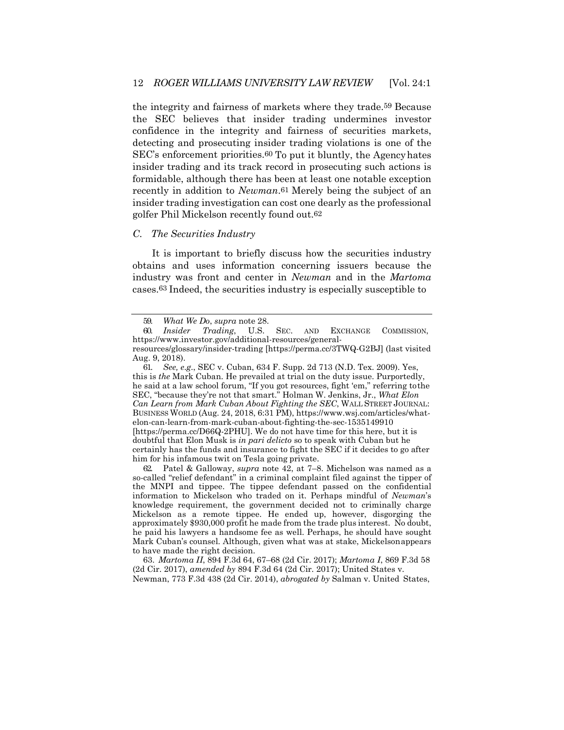the integrity and fairness of markets where they trade.59 Because the SEC believes that insider trading undermines investor confidence in the integrity and fairness of securities markets, detecting and prosecuting insider trading violations is one of the SEC's enforcement priorities.60 To put it bluntly, the Agencyhates insider trading and its track record in prosecuting such actions is formidable, although there has been at least one notable exception recently in addition to *Newman*.61 Merely being the subject of an insider trading investigation can cost one dearly as the professional golfer Phil Mickelson recently found out.62

#### *C. The Securities Industry*

It is important to briefly discuss how the securities industry obtains and uses information concerning issuers because the industry was front and center in *Newman* and in the *Martoma*  cases.63 Indeed, the securities industry is especially susceptible to

61. *See, e*.*g*., SEC v. Cuban, 634 F. Supp. 2d 713 (N.D. Tex. 2009). Yes, this is *the* Mark Cuban. He prevailed at trial on the duty issue. Purportedly, he said at a law school forum, "If you got resources, fight 'em," referring tothe SEC, "because they're not that smart." Holman W. Jenkins, Jr., *What Elon Can Learn from Mark Cuban About Fighting the SEC*, WALL STREET JOURNAL: BUSINESS WORLD (Aug. 24, 2018, 6:31 PM), [https://www.wsj.com/articles/what](http://www.wsj.com/articles/what-)elon-can-learn-from-mark-cuban-about-fighting-the-sec-1535149910 [https://perma.cc/D66Q-2PHU]. We do not have time for this here, but it is doubtful that Elon Musk is *in pari delicto* so to speak with Cuban but he certainly has the funds and insurance to fight the SEC if it decides to go after him for his infamous twit on Tesla going private.

62. Patel & Galloway, *supra* note 42, at 7–8. Michelson was named as a so-called "relief defendant" in a criminal complaint filed against the tipper of the MNPI and tippee. The tippee defendant passed on the confidential information to Mickelson who traded on it. Perhaps mindful of *Newman*'s knowledge requirement, the government decided not to criminally charge Mickelson as a remote tippee. He ended up, however, disgorging the approximately \$930,000 profit he made from the trade plus interest. No doubt, he paid his lawyers a handsome fee as well. Perhaps, he should have sought Mark Cuban's counsel. Although, given what was at stake, Mickelsonappears to have made the right decision.

63. *Martoma II*, 894 F.3d 64, 67–68 (2d Cir. 2017); *Martoma I*, 869 F.3d 58 (2d Cir. 2017), *amended by* 894 F.3d 64 (2d Cir. 2017); United States v. Newman, 773 F.3d 438 (2d Cir. 2014), *abrogated by* Salman v. United States,

<sup>59.</sup> *What We Do*, *supra* note 28.

<sup>60.</sup> *Insider Trading*, U.S. SEC. AND EXCHANGE COMMISSION, [https://www.investor.gov/additional-resources/general-](http://www.investor.gov/additional-resources/general-)

resources/glossary/insider-trading [https://perma.cc/3TWQ-G2BJ] (last visited Aug. 9, 2018).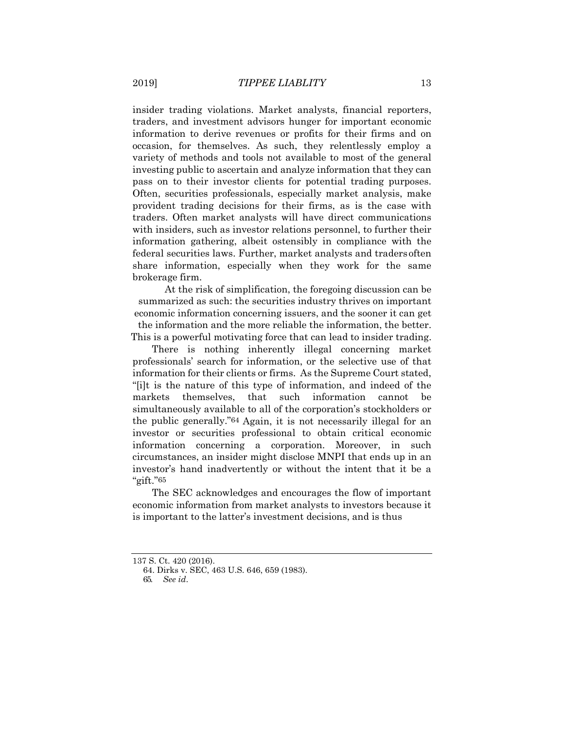insider trading violations. Market analysts, financial reporters, traders, and investment advisors hunger for important economic information to derive revenues or profits for their firms and on occasion, for themselves. As such, they relentlessly employ a variety of methods and tools not available to most of the general investing public to ascertain and analyze information that they can pass on to their investor clients for potential trading purposes. Often, securities professionals, especially market analysis, make provident trading decisions for their firms, as is the case with traders. Often market analysts will have direct communications with insiders, such as investor relations personnel, to further their information gathering, albeit ostensibly in compliance with the federal securities laws. Further, market analysts and traders often share information, especially when they work for the same brokerage firm.

At the risk of simplification, the foregoing discussion can be summarized as such: the securities industry thrives on important economic information concerning issuers, and the sooner it can get the information and the more reliable the information, the better. This is a powerful motivating force that can lead to insider trading.

There is nothing inherently illegal concerning market professionals' search for information, or the selective use of that information for their clients or firms. As the Supreme Court stated, "[i]t is the nature of this type of information, and indeed of the markets themselves, that such information cannot be simultaneously available to all of the corporation's stockholders or the public generally."64 Again, it is not necessarily illegal for an investor or securities professional to obtain critical economic information concerning a corporation. Moreover, in such circumstances, an insider might disclose MNPI that ends up in an investor's hand inadvertently or without the intent that it be a "gift."65

The SEC acknowledges and encourages the flow of important economic information from market analysts to investors because it is important to the latter's investment decisions, and is thus

<sup>137</sup> S. Ct. 420 (2016).

<sup>64.</sup> Dirks v. SEC, 463 U.S. 646, 659 (1983).

<sup>65.</sup> *See id*.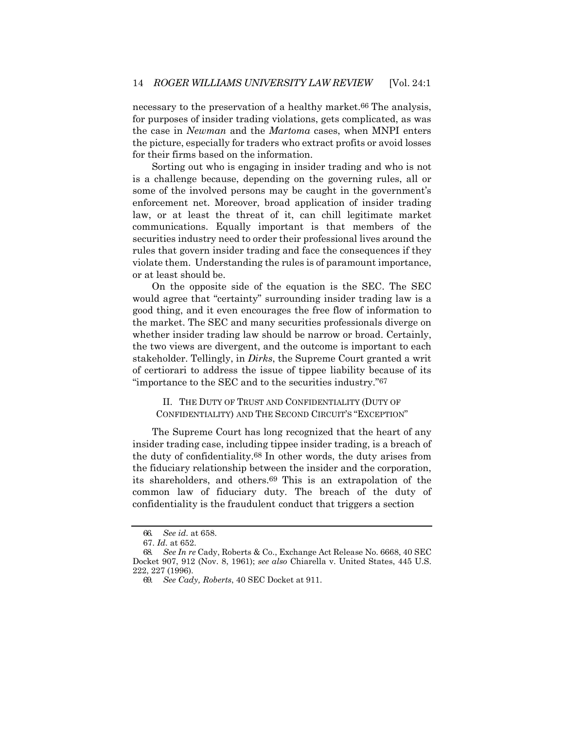necessary to the preservation of a healthy market.<sup>66</sup> The analysis, for purposes of insider trading violations, gets complicated, as was the case in *Newman* and the *Martoma* cases, when MNPI enters the picture, especially for traders who extract profits or avoid losses for their firms based on the information.

Sorting out who is engaging in insider trading and who is not is a challenge because, depending on the governing rules, all or some of the involved persons may be caught in the government's enforcement net. Moreover, broad application of insider trading law, or at least the threat of it, can chill legitimate market communications. Equally important is that members of the securities industry need to order their professional lives around the rules that govern insider trading and face the consequences if they violate them. Understanding the rules is of paramount importance, or at least should be.

On the opposite side of the equation is the SEC. The SEC would agree that "certainty" surrounding insider trading law is a good thing, and it even encourages the free flow of information to the market. The SEC and many securities professionals diverge on whether insider trading law should be narrow or broad. Certainly, the two views are divergent, and the outcome is important to each stakeholder. Tellingly, in *Dirks*, the Supreme Court granted a writ of certiorari to address the issue of tippee liability because of its "importance to the SEC and to the securities industry."67

II. THE DUTY OF TRUST AND CONFIDENTIALITY (DUTY OF CONFIDENTIALITY) AND THE SECOND CIRCUIT'S "EXCEPTION"

The Supreme Court has long recognized that the heart of any insider trading case, including tippee insider trading, is a breach of the duty of confidentiality.68 In other words, the duty arises from the fiduciary relationship between the insider and the corporation, its shareholders, and others.69 This is an extrapolation of the common law of fiduciary duty. The breach of the duty of confidentiality is the fraudulent conduct that triggers a section

<sup>66.</sup> *See id*. at 658.

<sup>67.</sup> *Id*. at 652.

<sup>68.</sup> *See In re* Cady, Roberts & Co., Exchange Act Release No. 6668, 40 SEC Docket 907, 912 (Nov. 8, 1961); *see also* Chiarella v. United States, 445 U.S. 222, 227 (1996).

<sup>69.</sup> *See Cady, Roberts*, 40 SEC Docket at 911.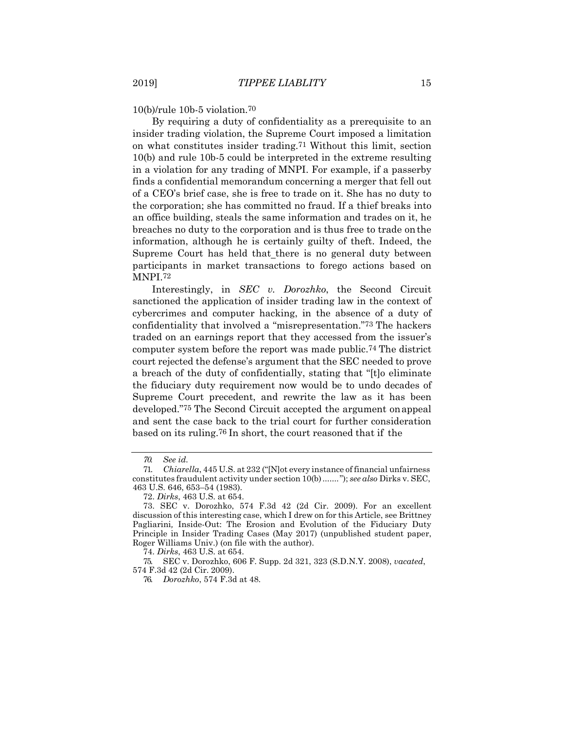10(b)/rule 10b-5 violation.70

By requiring a duty of confidentiality as a prerequisite to an insider trading violation, the Supreme Court imposed a limitation on what constitutes insider trading.71 Without this limit, section 10(b) and rule 10b-5 could be interpreted in the extreme resulting in a violation for any trading of MNPI. For example, if a passerby finds a confidential memorandum concerning a merger that fell out of a CEO's brief case, she is free to trade on it. She has no duty to the corporation; she has committed no fraud. If a thief breaks into an office building, steals the same information and trades on it, he breaches no duty to the corporation and is thus free to trade onthe information, although he is certainly guilty of theft. Indeed, the Supreme Court has held that there is no general duty between participants in market transactions to forego actions based on MNPI.72

Interestingly, in *SEC v. Dorozhko*, the Second Circuit sanctioned the application of insider trading law in the context of cybercrimes and computer hacking, in the absence of a duty of confidentiality that involved a "misrepresentation."73 The hackers traded on an earnings report that they accessed from the issuer's computer system before the report was made public.74 The district court rejected the defense's argument that the SEC needed to prove a breach of the duty of confidentially, stating that "[t]o eliminate the fiduciary duty requirement now would be to undo decades of Supreme Court precedent, and rewrite the law as it has been developed."75 The Second Circuit accepted the argument onappeal and sent the case back to the trial court for further consideration based on its ruling.76 In short, the court reasoned that if the

75. SEC v. Dorozhko, 606 F. Supp. 2d 321, 323 (S.D.N.Y. 2008), *vacated*, 574 F.3d 42 (2d Cir. 2009).

*<sup>70.</sup> See id.*

<sup>71.</sup> *Chiarella*, 445 U.S. at 232 ("[N]ot every instance of financial unfairness constitutes fraudulent activity under section 10(b)......."); *see also* Dirks v. SEC, 463 U.S. 646, 653–54 (1983).

<sup>72.</sup> *Dirks*, 463 U.S. at 654.

<sup>73.</sup> SEC v. Dorozhko, 574 F.3d 42 (2d Cir. 2009). For an excellent discussion of this interesting case, which I drew on for this Article, see Brittney Pagliarini*,* Inside-Out: The Erosion and Evolution of the Fiduciary Duty Principle in Insider Trading Cases (May 2017) (unpublished student paper, Roger Williams Univ.) (on file with the author).

<sup>74.</sup> *Dirks*, 463 U.S. at 654.

<sup>76.</sup> *Dorozhko*, 574 F.3d at 48.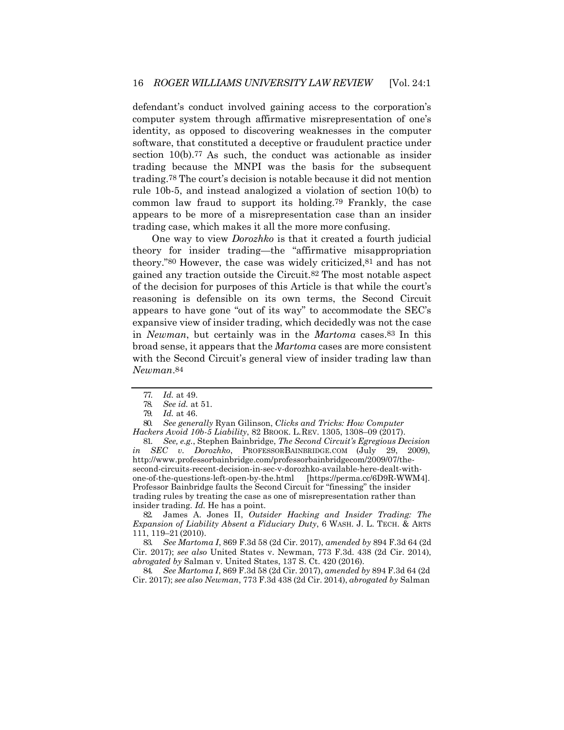defendant's conduct involved gaining access to the corporation's computer system through affirmative misrepresentation of one's identity, as opposed to discovering weaknesses in the computer software, that constituted a deceptive or fraudulent practice under section 10(b).77 As such, the conduct was actionable as insider trading because the MNPI was the basis for the subsequent trading.78 The court's decision is notable because it did not mention rule 10b-5, and instead analogized a violation of section 10(b) to common law fraud to support its holding.79 Frankly, the case appears to be more of a misrepresentation case than an insider trading case, which makes it all the more more confusing.

One way to view *Dorozhko* is that it created a fourth judicial theory for insider trading—the "affirmative misappropriation theory."80 However, the case was widely criticized,81 and has not gained any traction outside the Circuit.82 The most notable aspect of the decision for purposes of this Article is that while the court's reasoning is defensible on its own terms, the Second Circuit appears to have gone "out of its way" to accommodate the SEC's expansive view of insider trading, which decidedly was not the case in *Newman*, but certainly was in the *Martoma* cases.83 In this broad sense, it appears that the *Martoma* cases are more consistent with the Second Circuit's general view of insider trading law than *Newman*.84

80. *See generally* Ryan Gilinson, *Clicks and Tricks: How Computer Hackers Avoid 10b-5 Liability*, 82 BROOK. L.REV. 1305, 1308–09 (2017).

81. *See, e.g.*, Stephen Bainbridge, *The Second Circuit's Egregious Decision in SEC v. Dorozhko*, PROFESSORBAINBRIDGE.COM (July 29, 2009), [http://www.professorbainbridge.com/professorbainbridgecom/2009/07/the](http://www.professorbainbridge.com/professorbainbridgecom/2009/07/the-)second-circuits-recent-decision-in-sec-v-dorozhko-available-here-dealt-withone-of-the-questions-left-open-by-the.html [https://perma.cc/6D9R-WWM4]. Professor Bainbridge faults the Second Circuit for "finessing" the insider trading rules by treating the case as one of misrepresentation rather than insider trading. *Id.* He has a point.

82. James A. Jones II, *Outsider Hacking and Insider Trading: The Expansion of Liability Absent a Fiduciary Duty*, 6 WASH. J. L. TECH. & ARTS 111, 119–21 (2010).

83. *See Martoma I*, 869 F.3d 58 (2d Cir. 2017), *amended by* 894 F.3d 64 (2d Cir. 2017); *see also* United States v. Newman, 773 F.3d. 438 (2d Cir. 2014), *abrogated by* Salman v. United States, 137 S. Ct. 420 (2016).

84. *See Martoma I*, 869 F.3d 58 (2d Cir. 2017), *amended by* 894 F.3d 64 (2d Cir. 2017); *see also Newman*, 773 F.3d 438 (2d Cir. 2014), *abrogated by* Salman

<sup>77.</sup> *Id.* at 49.

<sup>78.</sup> *See id.* at 51.

<sup>79.</sup> *Id.* at 46.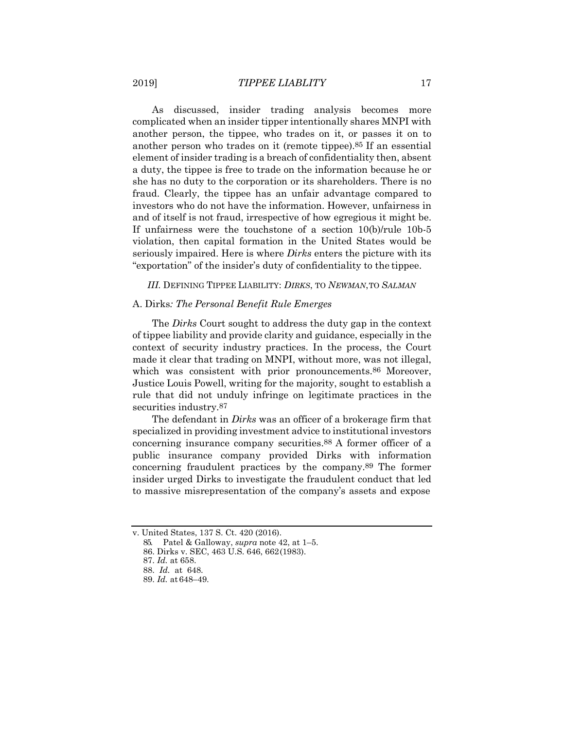As discussed, insider trading analysis becomes more complicated when an insider tipper intentionally shares MNPI with another person, the tippee, who trades on it, or passes it on to another person who trades on it (remote tippee).85 If an essential element of insider trading is a breach of confidentiality then, absent a duty, the tippee is free to trade on the information because he or she has no duty to the corporation or its shareholders. There is no fraud. Clearly, the tippee has an unfair advantage compared to investors who do not have the information. However, unfairness in and of itself is not fraud, irrespective of how egregious it might be. If unfairness were the touchstone of a section 10(b)/rule 10b-5 violation, then capital formation in the United States would be seriously impaired. Here is where *Dirks* enters the picture with its "exportation" of the insider's duty of confidentiality to the tippee.

*III.* DEFINING TIPPEE LIABILITY: *DIRKS*, TO *NEWMAN*,TO *SALMAN*

#### A. Dirks*: The Personal Benefit Rule Emerges*

The *Dirks* Court sought to address the duty gap in the context of tippee liability and provide clarity and guidance, especially in the context of security industry practices. In the process, the Court made it clear that trading on MNPI, without more, was not illegal, which was consistent with prior pronouncements.<sup>86</sup> Moreover, Justice Louis Powell, writing for the majority, sought to establish a rule that did not unduly infringe on legitimate practices in the securities industry.87

The defendant in *Dirks* was an officer of a brokerage firm that specialized in providing investment advice to institutional investors concerning insurance company securities.88 A former officer of a public insurance company provided Dirks with information concerning fraudulent practices by the company.89 The former insider urged Dirks to investigate the fraudulent conduct that led to massive misrepresentation of the company's assets and expose

v. United States, 137 S. Ct. 420 (2016).

<sup>85.</sup> Patel & Galloway, *supra* note 42, at 1–5.

<sup>86.</sup> Dirks v. SEC, 463 U.S. 646, 662(1983).

<sup>87.</sup> *Id.* at 658.

<sup>88.</sup> *Id.* at 648.

<sup>89.</sup> *Id.* at 648–49.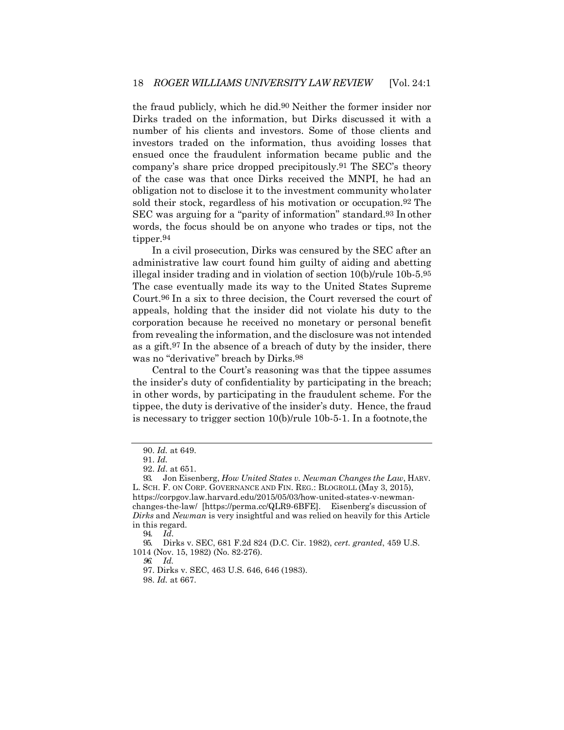the fraud publicly, which he did.90 Neither the former insider nor Dirks traded on the information, but Dirks discussed it with a number of his clients and investors. Some of those clients and investors traded on the information, thus avoiding losses that ensued once the fraudulent information became public and the company's share price dropped precipitously.91 The SEC's theory of the case was that once Dirks received the MNPI, he had an obligation not to disclose it to the investment community wholater sold their stock, regardless of his motivation or occupation.92 The SEC was arguing for a "parity of information" standard.93 In other words, the focus should be on anyone who trades or tips, not the tipper.94

In a civil prosecution, Dirks was censured by the SEC after an administrative law court found him guilty of aiding and abetting illegal insider trading and in violation of section 10(b)/rule 10b-5.95 The case eventually made its way to the United States Supreme Court.96 In a six to three decision, the Court reversed the court of appeals, holding that the insider did not violate his duty to the corporation because he received no monetary or personal benefit from revealing the information, and the disclosure was not intended as a gift.97 In the absence of a breach of duty by the insider, there was no "derivative" breach by Dirks.98

Central to the Court's reasoning was that the tippee assumes the insider's duty of confidentiality by participating in the breach; in other words, by participating in the fraudulent scheme. For the tippee, the duty is derivative of the insider's duty. Hence, the fraud is necessary to trigger section 10(b)/rule 10b-5-1. In a footnote,the

94. *Id*.

*96. Id.*

<sup>90.</sup> *Id.* at 649.

<sup>91.</sup> *Id.*

<sup>92.</sup> *Id*. at 651.

<sup>93.</sup> Jon Eisenberg, *How United States v. Newman Changes the Law*, HARV. L. SCH. F. ON CORP. GOVERNANCE AND FIN. REG.: BLOGROLL (May 3, 2015), [https://corpgov.law.harvard.edu/2015/05/03/how-united-states-v-newman](https://corpgov.law.harvard.edu/2015/05/03/how-united-states-v-newman-changes-the-law/)[changes-the-law/](https://corpgov.law.harvard.edu/2015/05/03/how-united-states-v-newman-changes-the-law/) [https://perma.cc/QLR9-6BFE]. Eisenberg's discussion of *Dirks* and *Newman* is very insightful and was relied on heavily for this Article in this regard.

<sup>95.</sup> Dirks v. SEC, 681 F.2d 824 (D.C. Cir. 1982), *cert. granted*, 459 U.S. 1014 (Nov. 15, 1982) (No. 82-276).

<sup>97.</sup> Dirks v. SEC, 463 U.S. 646, 646 (1983).

<sup>98.</sup> *Id.* at 667.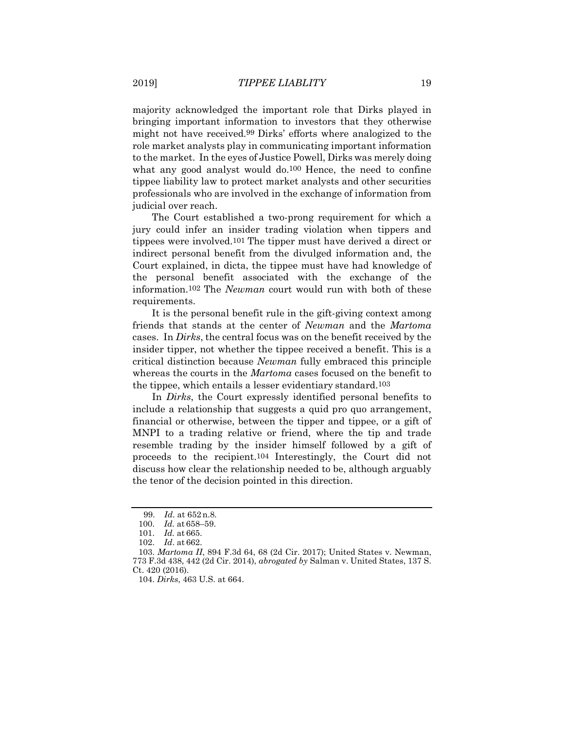majority acknowledged the important role that Dirks played in bringing important information to investors that they otherwise might not have received.99 Dirks' efforts where analogized to the role market analysts play in communicating important information to the market. In the eyes of Justice Powell, Dirks was merely doing what any good analyst would do.<sup>100</sup> Hence, the need to confine tippee liability law to protect market analysts and other securities professionals who are involved in the exchange of information from judicial over reach.

The Court established a two-prong requirement for which a jury could infer an insider trading violation when tippers and tippees were involved.101 The tipper must have derived a direct or indirect personal benefit from the divulged information and, the Court explained, in dicta, the tippee must have had knowledge of the personal benefit associated with the exchange of the information.102 The *Newman* court would run with both of these requirements.

It is the personal benefit rule in the gift-giving context among friends that stands at the center of *Newman* and the *Martoma*  cases. In *Dirks*, the central focus was on the benefit received by the insider tipper, not whether the tippee received a benefit. This is a critical distinction because *Newman* fully embraced this principle whereas the courts in the *Martoma* cases focused on the benefit to the tippee, which entails a lesser evidentiary standard.103

In *Dirks*, the Court expressly identified personal benefits to include a relationship that suggests a quid pro quo arrangement, financial or otherwise, between the tipper and tippee, or a gift of MNPI to a trading relative or friend, where the tip and trade resemble trading by the insider himself followed by a gift of proceeds to the recipient.104 Interestingly, the Court did not discuss how clear the relationship needed to be, although arguably the tenor of the decision pointed in this direction.

<sup>99.</sup> *Id*. at 652n.8.

<sup>100.</sup> *Id.* at 658–59.

<sup>101.</sup> *Id.* at 665.

<sup>102.</sup> *Id*. at 662.

<sup>103.</sup> *Martoma II*, 894 F.3d 64, 68 (2d Cir. 2017); United States v. Newman, 773 F.3d 438, 442 (2d Cir. 2014), *abrogated by* Salman v. United States, 137 S. Ct. 420 (2016).

<sup>104.</sup> *Dirks*, 463 U.S. at 664.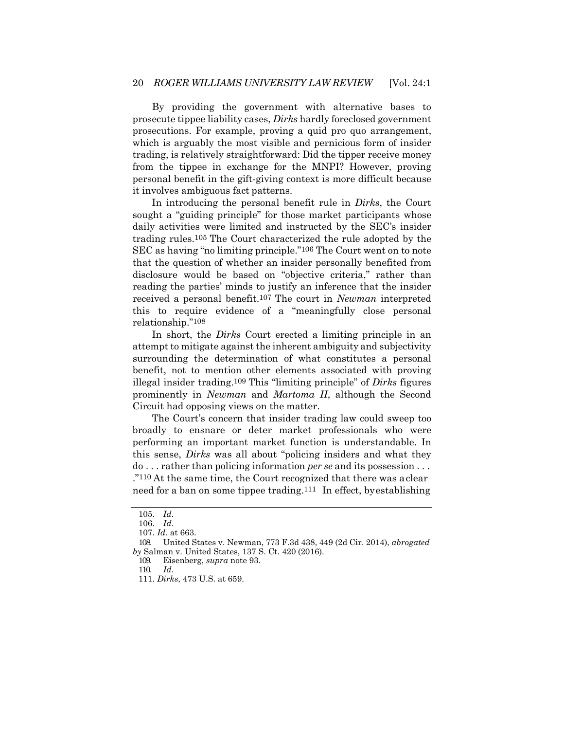By providing the government with alternative bases to prosecute tippee liability cases, *Dirks* hardly foreclosed government prosecutions. For example, proving a quid pro quo arrangement, which is arguably the most visible and pernicious form of insider trading, is relatively straightforward: Did the tipper receive money from the tippee in exchange for the MNPI? However, proving personal benefit in the gift-giving context is more difficult because it involves ambiguous fact patterns.

In introducing the personal benefit rule in *Dirks*, the Court sought a "guiding principle" for those market participants whose daily activities were limited and instructed by the SEC's insider trading rules.105 The Court characterized the rule adopted by the SEC as having "no limiting principle."106 The Court went on to note that the question of whether an insider personally benefited from disclosure would be based on "objective criteria," rather than reading the parties' minds to justify an inference that the insider received a personal benefit.107 The court in *Newman* interpreted this to require evidence of a "meaningfully close personal relationship."108

In short, the *Dirks* Court erected a limiting principle in an attempt to mitigate against the inherent ambiguity and subjectivity surrounding the determination of what constitutes a personal benefit, not to mention other elements associated with proving illegal insider trading.109 This "limiting principle" of *Dirks* figures prominently in *Newman* and *Martoma II*, although the Second Circuit had opposing views on the matter.

The Court's concern that insider trading law could sweep too broadly to ensnare or deter market professionals who were performing an important market function is understandable. In this sense, *Dirks* was all about "policing insiders and what they do . . . rather than policing information *per se* and its possession . . . ."110 At the same time, the Court recognized that there was aclear need for a ban on some tippee trading.111 In effect, byestablishing

110. *Id*.

<sup>105.</sup> *Id*.

<sup>106.</sup> *Id*.

<sup>107.</sup> *Id.* at 663.

<sup>108.</sup> United States v. Newman, 773 F.3d 438, 449 (2d Cir. 2014), *abrogated by* Salman v. United States, 137 S. Ct. 420 (2016).

<sup>109.</sup> Eisenberg, *supra* note 93.

<sup>111.</sup> *Dirks*, 473 U.S. at 659.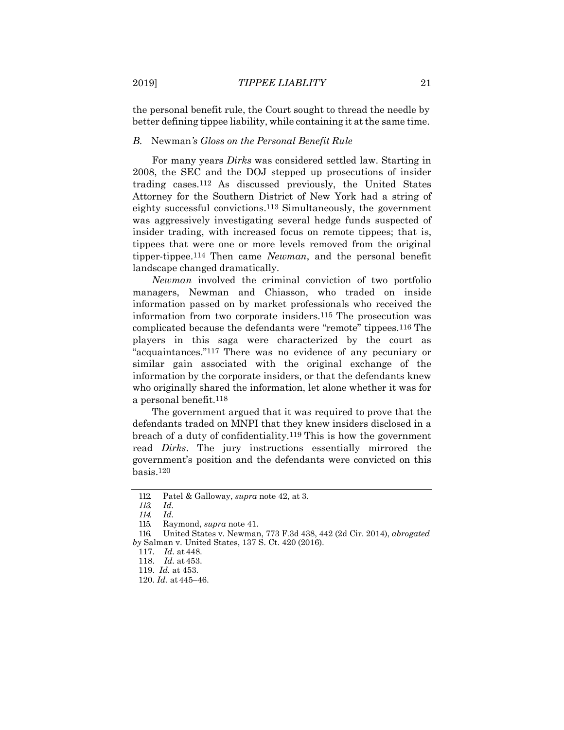the personal benefit rule, the Court sought to thread the needle by better defining tippee liability, while containing it at the same time.

#### *B.* Newman*'s Gloss on the Personal Benefit Rule*

For many years *Dirks* was considered settled law. Starting in 2008, the SEC and the DOJ stepped up prosecutions of insider trading cases.112 As discussed previously, the United States Attorney for the Southern District of New York had a string of eighty successful convictions.113 Simultaneously, the government was aggressively investigating several hedge funds suspected of insider trading, with increased focus on remote tippees; that is, tippees that were one or more levels removed from the original tipper-tippee.114 Then came *Newman*, and the personal benefit landscape changed dramatically.

*Newman* involved the criminal conviction of two portfolio managers, Newman and Chiasson, who traded on inside information passed on by market professionals who received the information from two corporate insiders.115 The prosecution was complicated because the defendants were "remote" tippees.116 The players in this saga were characterized by the court as "acquaintances."117 There was no evidence of any pecuniary or similar gain associated with the original exchange of the information by the corporate insiders, or that the defendants knew who originally shared the information, let alone whether it was for a personal benefit.118

The government argued that it was required to prove that the defendants traded on MNPI that they knew insiders disclosed in a breach of a duty of confidentiality.119 This is how the government read *Dirks*. The jury instructions essentially mirrored the government's position and the defendants were convicted on this basis.120

<sup>112.</sup> Patel & Galloway, *supra* note 42, at 3.

*<sup>113.</sup> Id.*

*<sup>114.</sup> Id.*

<sup>115.</sup> Raymond, *supra* note 41.

<sup>116.</sup> United States v. Newman, 773 F.3d 438, 442 (2d Cir. 2014), *abrogated by* Salman v. United States, 137 S. Ct. 420 (2016).

<sup>117.</sup> *Id.* at 448.

<sup>118.</sup> *Id.* at 453.

<sup>119.</sup> *Id.* at 453.

<sup>120.</sup> *Id.* at 445–46.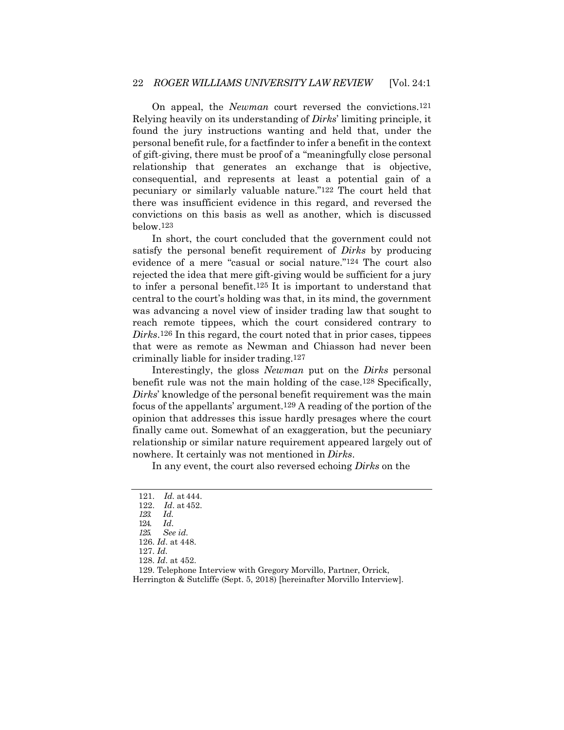On appeal, the *Newman* court reversed the convictions.121 Relying heavily on its understanding of *Dirks*' limiting principle, it found the jury instructions wanting and held that, under the personal benefit rule, for a factfinder to infer a benefit in the context of gift-giving, there must be proof of a "meaningfully close personal relationship that generates an exchange that is objective, consequential, and represents at least a potential gain of a pecuniary or similarly valuable nature."122 The court held that there was insufficient evidence in this regard, and reversed the convictions on this basis as well as another, which is discussed below.123

In short, the court concluded that the government could not satisfy the personal benefit requirement of *Dirks* by producing evidence of a mere "casual or social nature."124 The court also rejected the idea that mere gift-giving would be sufficient for a jury to infer a personal benefit.125 It is important to understand that central to the court's holding was that, in its mind, the government was advancing a novel view of insider trading law that sought to reach remote tippees, which the court considered contrary to *Dirks*.126 In this regard, the court noted that in prior cases, tippees that were as remote as Newman and Chiasson had never been criminally liable for insider trading.127

Interestingly, the gloss *Newman* put on the *Dirks* personal benefit rule was not the main holding of the case.128 Specifically, *Dirks*' knowledge of the personal benefit requirement was the main focus of the appellants' argument.129 A reading of the portion of the opinion that addresses this issue hardly presages where the court finally came out. Somewhat of an exaggeration, but the pecuniary relationship or similar nature requirement appeared largely out of nowhere. It certainly was not mentioned in *Dirks*.

In any event, the court also reversed echoing *Dirks* on the

<sup>121.</sup> *Id.* at 444.

<sup>122.</sup> *Id*. at 452.

*<sup>123.</sup> Id.*

<sup>124.</sup> *Id*.

*<sup>125.</sup> See id.*

<sup>126.</sup> *Id*. at 448.

<sup>127.</sup> *Id.*

<sup>128.</sup> *Id*. at 452.

<sup>129.</sup> Telephone Interview with Gregory Morvillo, Partner, Orrick, Herrington & Sutcliffe (Sept. 5, 2018) [hereinafter Morvillo Interview].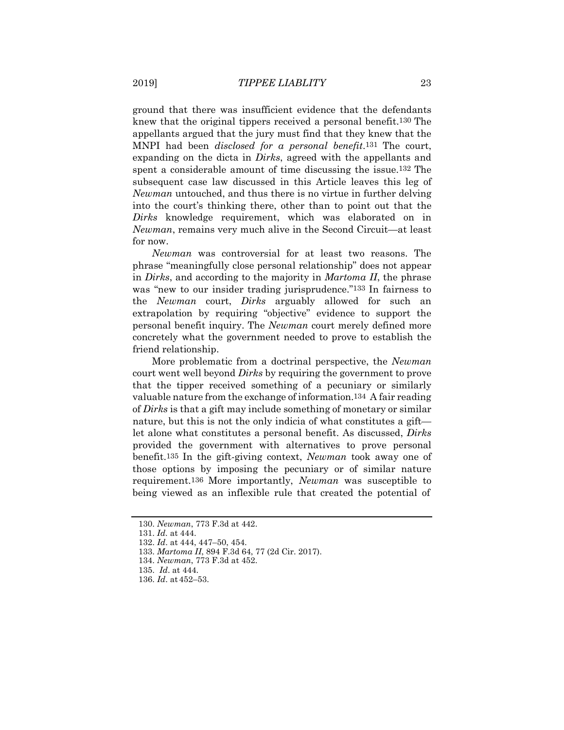ground that there was insufficient evidence that the defendants knew that the original tippers received a personal benefit.130 The appellants argued that the jury must find that they knew that the MNPI had been *disclosed for a personal benefit*.131 The court, expanding on the dicta in *Dirks*, agreed with the appellants and spent a considerable amount of time discussing the issue.132 The subsequent case law discussed in this Article leaves this leg of *Newman* untouched, and thus there is no virtue in further delving into the court's thinking there, other than to point out that the *Dirks* knowledge requirement, which was elaborated on in *Newman*, remains very much alive in the Second Circuit—at least for now.

*Newman* was controversial for at least two reasons. The phrase "meaningfully close personal relationship" does not appear in *Dirks*, and according to the majority in *Martoma II*, the phrase was "new to our insider trading jurisprudence."<sup>133</sup> In fairness to the *Newman* court, *Dirks* arguably allowed for such an extrapolation by requiring "objective" evidence to support the personal benefit inquiry. The *Newman* court merely defined more concretely what the government needed to prove to establish the friend relationship.

More problematic from a doctrinal perspective, the *Newman*  court went well beyond *Dirks* by requiring the government to prove that the tipper received something of a pecuniary or similarly valuable nature from the exchange of information.134 A fair reading of *Dirks* is that a gift may include something of monetary or similar nature, but this is not the only indicia of what constitutes a gift let alone what constitutes a personal benefit. As discussed, *Dirks*  provided the government with alternatives to prove personal benefit.135 In the gift-giving context, *Newman* took away one of those options by imposing the pecuniary or of similar nature requirement.136 More importantly, *Newman* was susceptible to being viewed as an inflexible rule that created the potential of

134. *Newman*, 773 F.3d at 452.

<sup>130.</sup> *Newman*, 773 F.3d at 442.

<sup>131.</sup> *Id*. at 444.

<sup>132.</sup> *Id*. at 444, 447–50, 454.

<sup>133.</sup> *Martoma II*, 894 F.3d 64, 77 (2d Cir. 2017).

<sup>135.</sup> *Id*. at 444.

<sup>136.</sup> *Id*. at 452–53.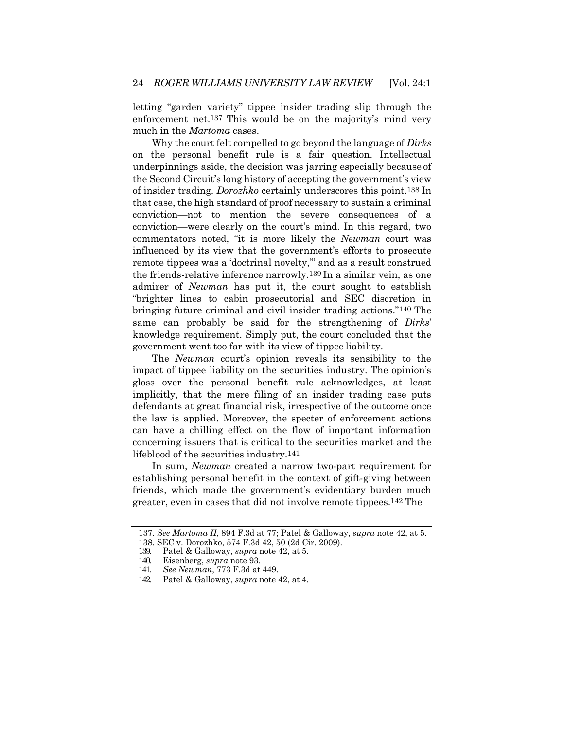letting "garden variety" tippee insider trading slip through the enforcement net.137 This would be on the majority's mind very much in the *Martoma* cases.

Why the court felt compelled to go beyond the language of *Dirks*  on the personal benefit rule is a fair question. Intellectual underpinnings aside, the decision was jarring especially because of the Second Circuit's long history of accepting the government's view of insider trading. *Dorozhko* certainly underscores this point.138 In that case, the high standard of proof necessary to sustain a criminal conviction—not to mention the severe consequences of a conviction—were clearly on the court's mind. In this regard, two commentators noted, "it is more likely the *Newman* court was influenced by its view that the government's efforts to prosecute remote tippees was a 'doctrinal novelty,'" and as a result construed the friends-relative inference narrowly.139 In a similar vein, as one admirer of *Newman* has put it, the court sought to establish "brighter lines to cabin prosecutorial and SEC discretion in bringing future criminal and civil insider trading actions."140 The same can probably be said for the strengthening of *Dirks*' knowledge requirement. Simply put, the court concluded that the government went too far with its view of tippee liability.

The *Newman* court's opinion reveals its sensibility to the impact of tippee liability on the securities industry. The opinion's gloss over the personal benefit rule acknowledges, at least implicitly, that the mere filing of an insider trading case puts defendants at great financial risk, irrespective of the outcome once the law is applied. Moreover, the specter of enforcement actions can have a chilling effect on the flow of important information concerning issuers that is critical to the securities market and the lifeblood of the securities industry.141

In sum, *Newman* created a narrow two-part requirement for establishing personal benefit in the context of gift-giving between friends, which made the government's evidentiary burden much greater, even in cases that did not involve remote tippees.142 The

<sup>137.</sup> *See Martoma II*, 894 F.3d at 77; Patel & Galloway, *supra* note 42, at 5.

<sup>138.</sup> SEC v. Dorozhko, 574 F.3d 42, 50 (2d Cir. 2009).

<sup>139.</sup> Patel & Galloway, *supra* note 42, at 5.

<sup>140.</sup> Eisenberg, *supra* note 93.

<sup>141.</sup> *See Newman*, 773 F.3d at 449.

<sup>142.</sup> Patel & Galloway, *supra* note 42, at 4.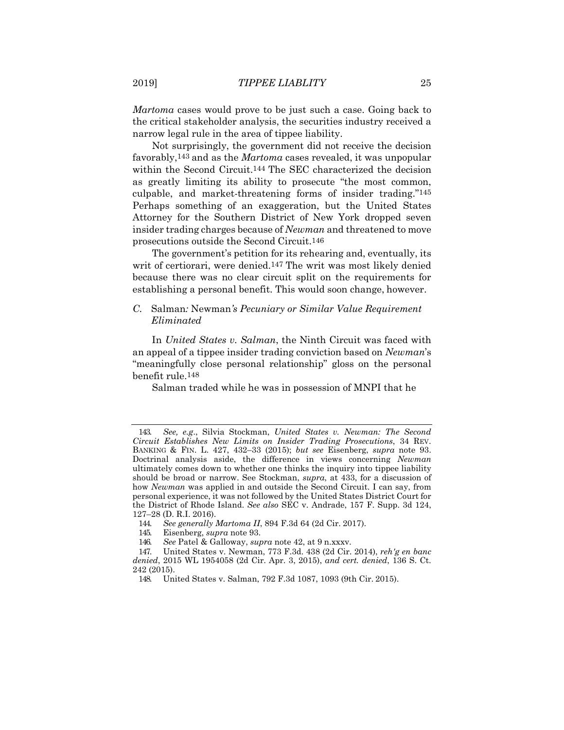*Martoma* cases would prove to be just such a case. Going back to the critical stakeholder analysis, the securities industry received a narrow legal rule in the area of tippee liability.

Not surprisingly, the government did not receive the decision favorably,143 and as the *Martoma* cases revealed, it was unpopular within the Second Circuit.144 The SEC characterized the decision as greatly limiting its ability to prosecute "the most common, culpable, and market-threatening forms of insider trading."145 Perhaps something of an exaggeration, but the United States Attorney for the Southern District of New York dropped seven insider trading charges because of *Newman* and threatened to move prosecutions outside the Second Circuit.146

The government's petition for its rehearing and, eventually, its writ of certiorari, were denied.<sup>147</sup> The writ was most likely denied because there was no clear circuit split on the requirements for establishing a personal benefit. This would soon change, however.

#### *C.* Salman*:* Newman*'s Pecuniary or Similar Value Requirement Eliminated*

In *United States v. Salman*, the Ninth Circuit was faced with an appeal of a tippee insider trading conviction based on *Newman*'s "meaningfully close personal relationship" gloss on the personal benefit rule.148

Salman traded while he was in possession of MNPI that he

<sup>143.</sup> *See, e.g*., Silvia Stockman, *United States v. Newman: The Second Circuit Establishes New Limits on Insider Trading Prosecutions*, 34 REV. BANKING & FIN. L. 427, 432–33 (2015); *but see* Eisenberg, *supra* note 93. Doctrinal analysis aside, the difference in views concerning *Newman*  ultimately comes down to whether one thinks the inquiry into tippee liability should be broad or narrow. See Stockman, *supra*, at 433, for a discussion of how *Newman* was applied in and outside the Second Circuit. I can say, from personal experience, it was not followed by the United States District Court for the District of Rhode Island. *See also* SEC v. Andrade, 157 F. Supp. 3d 124, 127–28 (D. R.I. 2016).

<sup>144.</sup> *See generally Martoma II*, 894 F.3d 64 (2d Cir. 2017).

<sup>145.</sup> Eisenberg, *supra* note 93.

<sup>146.</sup> *See* Patel & Galloway, *supra* note 42, at 9 n.xxxv.

<sup>147.</sup> United States v. Newman, 773 F.3d. 438 (2d Cir. 2014), *reh'g en banc denied*, 2015 WL 1954058 (2d Cir. Apr. 3, 2015), *and cert. denied*, 136 S. Ct. 242 (2015).

<sup>148.</sup> United States v. Salman, 792 F.3d 1087, 1093 (9th Cir. 2015).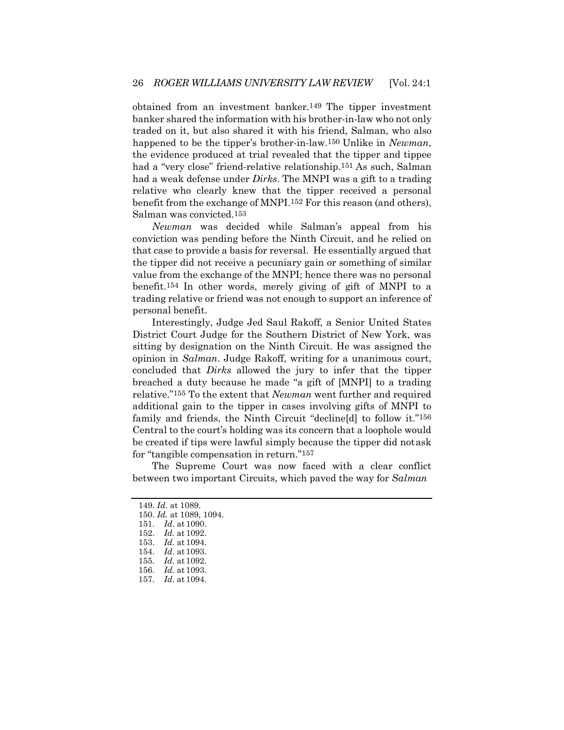obtained from an investment banker.149 The tipper investment banker shared the information with his brother-in-law who not only traded on it, but also shared it with his friend, Salman, who also happened to be the tipper's brother-in-law.150 Unlike in *Newman*, the evidence produced at trial revealed that the tipper and tippee had a "very close" friend-relative relationship.151 As such, Salman had a weak defense under *Dirks*. The MNPI was a gift to a trading relative who clearly knew that the tipper received a personal benefit from the exchange of MNPI.152 For this reason (and others), Salman was convicted.153

*Newman* was decided while Salman's appeal from his conviction was pending before the Ninth Circuit, and he relied on that case to provide a basis for reversal. He essentially argued that the tipper did not receive a pecuniary gain or something of similar value from the exchange of the MNPI; hence there was no personal benefit.154 In other words, merely giving of gift of MNPI to a trading relative or friend was not enough to support an inference of personal benefit.

Interestingly, Judge Jed Saul Rakoff, a Senior United States District Court Judge for the Southern District of New York, was sitting by designation on the Ninth Circuit. He was assigned the opinion in *Salman*. Judge Rakoff, writing for a unanimous court, concluded that *Dirks* allowed the jury to infer that the tipper breached a duty because he made "a gift of [MNPI] to a trading relative."155 To the extent that *Newman* went further and required additional gain to the tipper in cases involving gifts of MNPI to family and friends, the Ninth Circuit "decline[d] to follow it."156 Central to the court's holding was its concern that a loophole would be created if tips were lawful simply because the tipper did notask for "tangible compensation in return."157

The Supreme Court was now faced with a clear conflict between two important Circuits, which paved the way for *Salman*

<sup>149.</sup> *Id.* at 1089.

<sup>150.</sup> *Id.* at 1089, 1094.

<sup>151.</sup> *Id*. at 1090.

<sup>152.</sup> *Id.* at 1092.

<sup>153.</sup> *Id.* at 1094.

<sup>154.</sup> *Id*. at 1093.

<sup>155.</sup> *Id*. at 1092.

<sup>156.</sup> *Id*. at 1093.

<sup>157.</sup> *Id*. at 1094.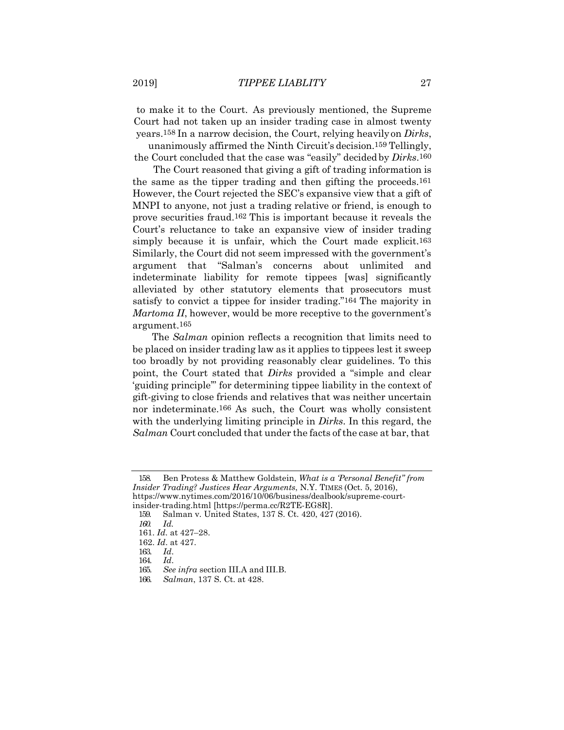to make it to the Court. As previously mentioned, the Supreme Court had not taken up an insider trading case in almost twenty years.158 In a narrow decision, the Court, relying heavilyon *Dirks*,

unanimously affirmed the Ninth Circuit's decision.159 Tellingly, the Court concluded that the case was "easily" decided by *Dirks*.160

The Court reasoned that giving a gift of trading information is the same as the tipper trading and then gifting the proceeds.161 However, the Court rejected the SEC's expansive view that a gift of MNPI to anyone, not just a trading relative or friend, is enough to prove securities fraud.162 This is important because it reveals the Court's reluctance to take an expansive view of insider trading simply because it is unfair, which the Court made explicit.163 Similarly, the Court did not seem impressed with the government's argument that "Salman's concerns about unlimited and indeterminate liability for remote tippees [was] significantly alleviated by other statutory elements that prosecutors must satisfy to convict a tippee for insider trading."164 The majority in *Martoma II*, however, would be more receptive to the government's argument.165

The *Salman* opinion reflects a recognition that limits need to be placed on insider trading law as it applies to tippees lest it sweep too broadly by not providing reasonably clear guidelines. To this point, the Court stated that *Dirks* provided a "simple and clear 'guiding principle'" for determining tippee liability in the context of gift-giving to close friends and relatives that was neither uncertain nor indeterminate.166 As such, the Court was wholly consistent with the underlying limiting principle in *Dirks*. In this regard, the *Salman* Court concluded that under the facts of the case at bar, that

<sup>158.</sup> Ben Protess & Matthew Goldstein, *What is a 'Personal Benefit" from Insider Trading? Justices Hear Arguments*, N.Y. TIMES (Oct. 5, 2016), [https://www.nytimes.com/2016/10/06/business/dealbook/supreme-court](https://www.nytimes.com/2016/10/06/business/dealbook/supreme-court-insider-trading.html)[insider-trading.html](https://www.nytimes.com/2016/10/06/business/dealbook/supreme-court-insider-trading.html) [https://perma.cc/R2TE-EG8R].

<sup>159.</sup> Salman v. United States, 137 S. Ct. 420, 427 (2016).

*<sup>160.</sup> Id.*

<sup>161.</sup> *Id*. at 427–28.

<sup>162.</sup> *Id*. at 427.

<sup>163.</sup> *Id*.

<sup>164.</sup> *Id*.

<sup>165.</sup> *See infra* section III.A and III.B.

<sup>166.</sup> *Salman*, 137 S. Ct. at 428.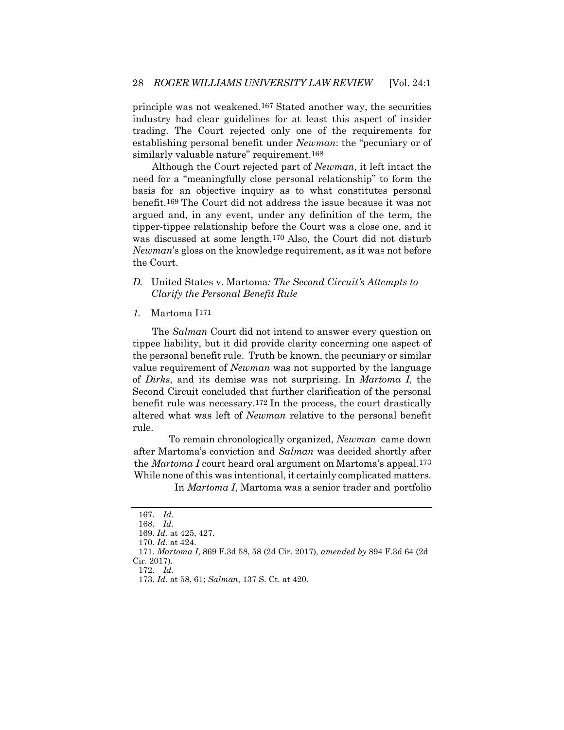principle was not weakened.167 Stated another way, the securities industry had clear guidelines for at least this aspect of insider trading. The Court rejected only one of the requirements for establishing personal benefit under *Newman*: the "pecuniary or of similarly valuable nature" requirement.<sup>168</sup>

Although the Court rejected part of *Newman*, it left intact the need for a "meaningfully close personal relationship" to form the basis for an objective inquiry as to what constitutes personal benefit.169 The Court did not address the issue because it was not argued and, in any event, under any definition of the term, the tipper-tippee relationship before the Court was a close one, and it was discussed at some length.170 Also, the Court did not disturb *Newman*'s gloss on the knowledge requirement, as it was not before the Court.

- *D.* United States v. Martoma*: The Second Circuit's Attempts to Clarify the Personal Benefit Rule*
- *1.* Martoma I171

The *Salman* Court did not intend to answer every question on tippee liability, but it did provide clarity concerning one aspect of the personal benefit rule. Truth be known, the pecuniary or similar value requirement of *Newman* was not supported by the language of *Dirks*, and its demise was not surprising. In *Martoma I*, the Second Circuit concluded that further clarification of the personal benefit rule was necessary.172 In the process, the court drastically altered what was left of *Newman* relative to the personal benefit rule.

To remain chronologically organized, *Newman* came down after Martoma's conviction and *Salman* was decided shortly after the *Martoma I* court heard oral argument on Martoma's appeal.173 While none of this was intentional, it certainly complicated matters.

In *Martoma I*, Martoma was a senior trader and portfolio

172. *Id.*

<sup>167.</sup> *Id.* 168. *Id.*

<sup>169.</sup> *Id.* at 425, 427.

<sup>170.</sup> *Id.* at 424.

<sup>171.</sup> *Martoma I*, 869 F.3d 58, 58 (2d Cir. 2017), *amended by* 894 F.3d 64 (2d Cir. 2017).

<sup>173.</sup> *Id.* at 58, 61; *Salman*, 137 S. Ct. at 420.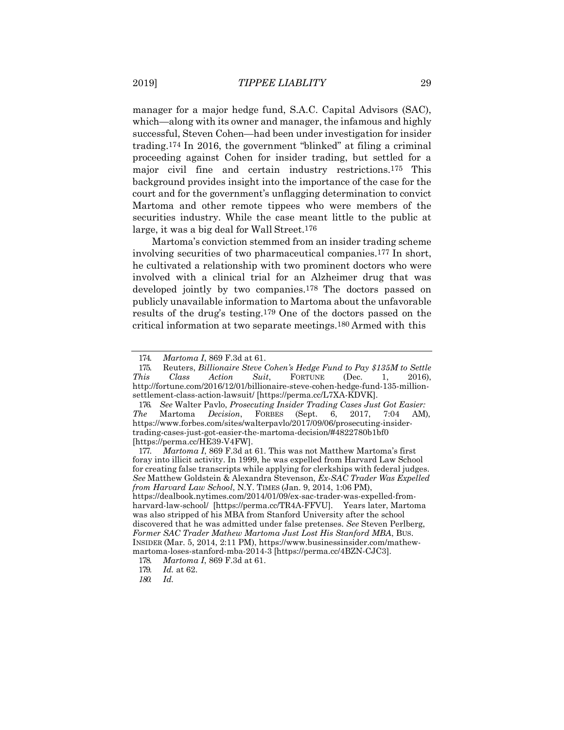manager for a major hedge fund, S.A.C. Capital Advisors (SAC), which—along with its owner and manager, the infamous and highly successful, Steven Cohen—had been under investigation for insider trading.174 In 2016, the government "blinked" at filing a criminal proceeding against Cohen for insider trading, but settled for a major civil fine and certain industry restrictions.175 This background provides insight into the importance of the case for the court and for the government's unflagging determination to convict Martoma and other remote tippees who were members of the securities industry. While the case meant little to the public at large, it was a big deal for Wall Street.176

Martoma's conviction stemmed from an insider trading scheme involving securities of two pharmaceutical companies.177 In short, he cultivated a relationship with two prominent doctors who were involved with a clinical trial for an Alzheimer drug that was developed jointly by two companies.178 The doctors passed on publicly unavailable information to Martoma about the unfavorable results of the drug's testing.179 One of the doctors passed on the critical information at two separate meetings.180 Armed with this

177. *Martoma I*, 869 F.3d at 61. This was not Matthew Martoma's first foray into illicit activity. In 1999, he was expelled from Harvard Law School for creating false transcripts while applying for clerkships with federal judges. *See* Matthew Goldstein & Alexandra Stevenson, *Ex-SAC Trader Was Expelled from Harvard Law School*, N.Y. TIMES (Jan. 9, 2014, 1:06 PM), https://dealbook.nytimes.com/2014/01/09/ex-sac-trader-was-expelled-fromharvard-law-school/ [https://perma.cc/TR4A-FFVU]. Years later, Martoma was also stripped of his MBA from Stanford University after the school discovered that he was admitted under false pretenses. *See* Steven Perlberg, *Former SAC Trader Mathew Martoma Just Lost His Stanford MBA*, BUS. INSIDER (Mar. 5, 2014, 2:11 PM), [https://www.businessinsider.com/mathew](http://www.businessinsider.com/mathew-)martoma-loses-stanford-mba-2014-3 [https://perma.cc/4BZN-CJC3].

<sup>174.</sup> *Martoma I*, 869 F.3d at 61.

<sup>175.</sup> Reuters, *Billionaire Steve Cohen's Hedge Fund to Pay \$135M to Settle This Class Action Suit*, FORTUNE (Dec. 1, 2016), [http://fortune.com/2016/12/01/billionaire-steve-cohen-hedge-fund-135-million](http://fortune.com/2016/12/01/billionaire-steve-cohen-hedge-fund-135-million-)settlement-class-action-lawsuit/ [https://perma.cc/L7XA-KDVK].

<sup>176.</sup> *See* Walter Pavlo, *Prosecuting Insider Trading Cases Just Got Easier: The* Martoma *Decision*, FORBES (Sept. 6, 2017, 7:04 AM), [https://www.forbes.com/sites/walterpavlo/2017/09/06/prosecuting-insider](http://www.forbes.com/sites/walterpavlo/2017/09/06/prosecuting-insider-)trading-cases-just-got-easier-the-martoma-decision/#4822780b1bf0 [https://perma.cc/HE39-V4FW].

<sup>178.</sup> *Martoma I*, 869 F.3d at 61.

<sup>179.</sup> *Id.* at 62.

*<sup>180.</sup> Id.*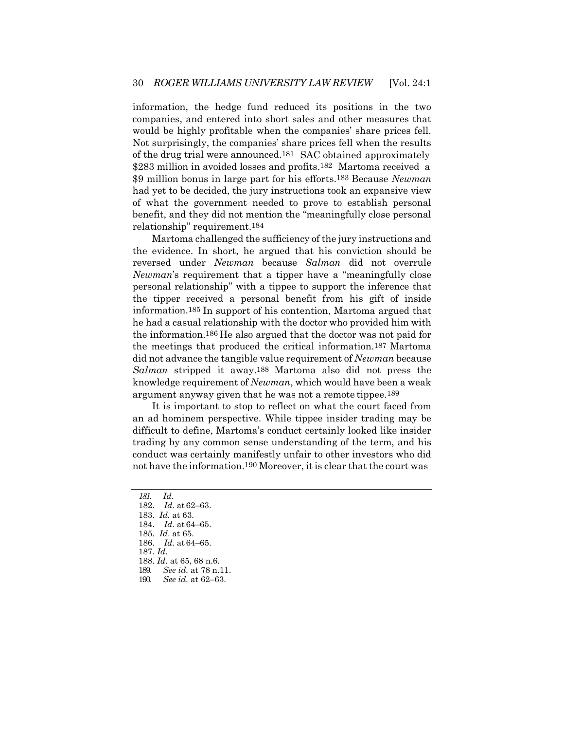information, the hedge fund reduced its positions in the two companies, and entered into short sales and other measures that would be highly profitable when the companies' share prices fell. Not surprisingly, the companies' share prices fell when the results of the drug trial were announced.181 SAC obtained approximately \$283 million in avoided losses and profits.182 Martoma received a \$9 million bonus in large part for his efforts.183 Because *Newman*  had yet to be decided, the jury instructions took an expansive view of what the government needed to prove to establish personal benefit, and they did not mention the "meaningfully close personal relationship" requirement.184

Martoma challenged the sufficiency of the jury instructions and the evidence. In short, he argued that his conviction should be reversed under *Newman* because *Salman* did not overrule *Newman*'s requirement that a tipper have a "meaningfully close personal relationship" with a tippee to support the inference that the tipper received a personal benefit from his gift of inside information.185 In support of his contention, Martoma argued that he had a casual relationship with the doctor who provided him with the information.186 He also argued that the doctor was not paid for the meetings that produced the critical information.187 Martoma did not advance the tangible value requirement of *Newman* because *Salman* stripped it away.188 Martoma also did not press the knowledge requirement of *Newman*, which would have been a weak argument anyway given that he was not a remote tippee.189

It is important to stop to reflect on what the court faced from an ad hominem perspective. While tippee insider trading may be difficult to define, Martoma's conduct certainly looked like insider trading by any common sense understanding of the term, and his conduct was certainly manifestly unfair to other investors who did not have the information.<sup>190</sup> Moreover, it is clear that the court was

- 187. *Id.*
- 188. *Id.* at 65, 68 n.6.
- 189. *See id.* at 78 n.11.
- 190. *See id.* at 62–63.

*<sup>181.</sup> Id.*

<sup>182.</sup> *Id.* at 62–63.

<sup>183.</sup> *Id.* at 63.

<sup>184.</sup> *Id.* at 64–65.

<sup>185.</sup> *Id*. at 65.

<sup>186.</sup> *Id.* at 64–65.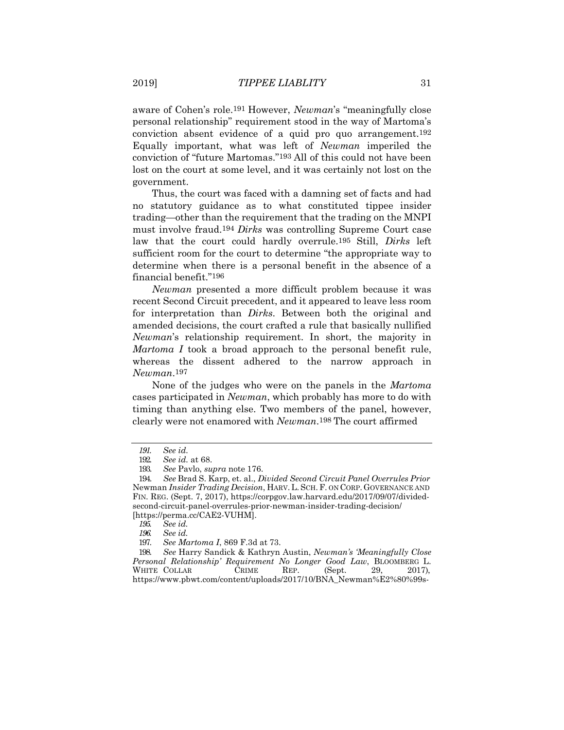aware of Cohen's role.191 However, *Newman*'s "meaningfully close personal relationship" requirement stood in the way of Martoma's conviction absent evidence of a quid pro quo arrangement.192 Equally important, what was left of *Newman* imperiled the conviction of "future Martomas."193 All of this could not have been lost on the court at some level, and it was certainly not lost on the government.

Thus, the court was faced with a damning set of facts and had no statutory guidance as to what constituted tippee insider trading—other than the requirement that the trading on the MNPI must involve fraud.194 *Dirks* was controlling Supreme Court case law that the court could hardly overrule.195 Still, *Dirks* left sufficient room for the court to determine "the appropriate way to determine when there is a personal benefit in the absence of a financial benefit."196

*Newman* presented a more difficult problem because it was recent Second Circuit precedent, and it appeared to leave less room for interpretation than *Dirks*. Between both the original and amended decisions, the court crafted a rule that basically nullified *Newman*'s relationship requirement. In short, the majority in *Martoma I* took a broad approach to the personal benefit rule, whereas the dissent adhered to the narrow approach in *Newman*.197

None of the judges who were on the panels in the *Martoma*  cases participated in *Newman*, which probably has more to do with timing than anything else. Two members of the panel, however, clearly were not enamored with *Newman*.198 The court affirmed

198. *See* Harry Sandick & Kathryn Austin, *Newman's 'Meaningfully Close Personal Relationship' Requirement No Longer Good Law*, BLOOMBERG L. WHITE COLLAR CRIME REP. (Sept. 29, [https://www.pbwt.com/content/uploads/2017/10/BNA\\_Newman%E2%80%99s-](https://www.pbwt.com/content/uploads/2017/10/BNA_Newman%E2%80%99s-%E2%80%98Meaningfully-Close-Personal-Relationship-Requirement-No-Longer-Good-Law_September-29-2017.pdf)

*<sup>191.</sup> See id.*

<sup>192.</sup> *See id.* at 68.

<sup>193.</sup> *See* Pavlo, *supra* note 176.

<sup>194.</sup> *See* Brad S. Karp, et. al., *Divided Second Circuit Panel Overrules Prior*  Newman *Insider Trading Decision*, HARV.L. SCH.F. ON CORP. GOVERNANCE AND FIN. REG. (Sept. 7, 2017), https://corpgov.law.harvard.edu/2017/09/07/dividedsecond-circuit-panel-overrules-prior-newman-insider-trading-decision/ [https://perma.cc/CAE2-VUHM].

*<sup>195.</sup> See id.*

*<sup>196.</sup> See id.*

<sup>197.</sup> *See Martoma I*, 869 F.3d at 73.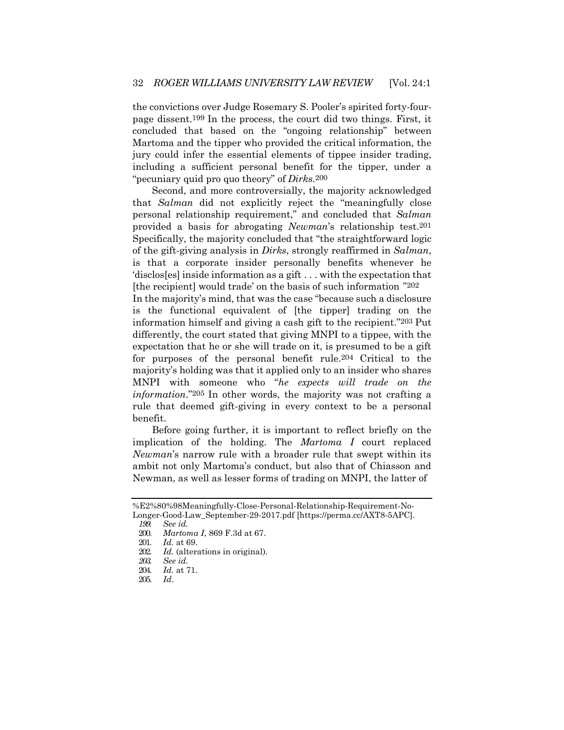the convictions over Judge Rosemary S. Pooler's spirited forty-fourpage dissent.199 In the process, the court did two things. First, it concluded that based on the "ongoing relationship" between Martoma and the tipper who provided the critical information, the jury could infer the essential elements of tippee insider trading, including a sufficient personal benefit for the tipper, under a "pecuniary quid pro quo theory" of *Dirks*.200

Second, and more controversially, the majority acknowledged that *Salman* did not explicitly reject the "meaningfully close personal relationship requirement," and concluded that *Salman*  provided a basis for abrogating *Newman*'s relationship test.201 Specifically, the majority concluded that "the straightforward logic of the gift-giving analysis in *Dirks*, strongly reaffirmed in *Salman*, is that a corporate insider personally benefits whenever he 'disclos[es] inside information as a gift . . . with the expectation that [the recipient] would trade' on the basis of such information "202

In the majority's mind, that was the case "because such a disclosure is the functional equivalent of [the tipper] trading on the information himself and giving a cash gift to the recipient."203 Put differently, the court stated that giving MNPI to a tippee, with the expectation that he or she will trade on it, is presumed to be a gift for purposes of the personal benefit rule.204 Critical to the majority's holding was that it applied only to an insider who shares MNPI with someone who "*he expects will trade on the information*."205 In other words, the majority was not crafting a rule that deemed gift-giving in every context to be a personal benefit.

Before going further, it is important to reflect briefly on the implication of the holding. The *Martoma I* court replaced *Newman*'s narrow rule with a broader rule that swept within its ambit not only Martoma's conduct, but also that of Chiasson and Newman, as well as lesser forms of trading on MNPI, the latter of

[<sup>%</sup>E2%80%98Meaningfully-Close-Personal-Relationship-Requirement-No-](https://www.pbwt.com/content/uploads/2017/10/BNA_Newman%E2%80%99s-%E2%80%98Meaningfully-Close-Personal-Relationship-Requirement-No-Longer-Good-Law_September-29-2017.pdf)[Longer-Good-Law\\_September-29-2017.pdf \[](https://www.pbwt.com/content/uploads/2017/10/BNA_Newman%E2%80%99s-%E2%80%98Meaningfully-Close-Personal-Relationship-Requirement-No-Longer-Good-Law_September-29-2017.pdf)https://perma.cc/AXT8-5APC]. *199. See id.*

<sup>200.</sup> *Martoma I*, 869 F.3d at 67.

<sup>201.</sup> *Id.* at 69.

<sup>202.</sup> *Id.* (alterations in original).

*<sup>203.</sup> See id.*

<sup>204.</sup> *Id.* at 71.

<sup>205.</sup> *Id*.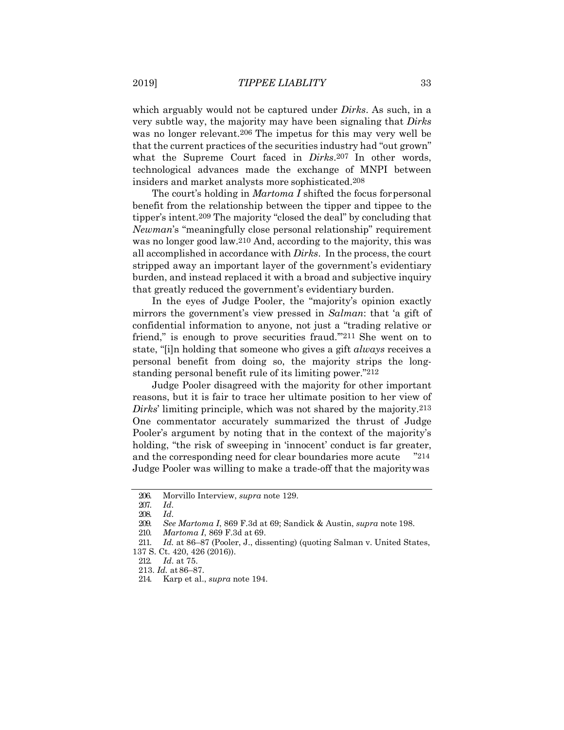which arguably would not be captured under *Dirks*. As such, in a very subtle way, the majority may have been signaling that *Dirks*  was no longer relevant.206 The impetus for this may very well be that the current practices of the securities industry had "out grown" what the Supreme Court faced in *Dirks*.207 In other words, technological advances made the exchange of MNPI between insiders and market analysts more sophisticated.208

The court's holding in *Martoma I* shifted the focus forpersonal benefit from the relationship between the tipper and tippee to the tipper's intent.209 The majority "closed the deal" by concluding that *Newman*'s "meaningfully close personal relationship" requirement was no longer good law.210 And, according to the majority, this was all accomplished in accordance with *Dirks*. In the process, the court stripped away an important layer of the government's evidentiary burden, and instead replaced it with a broad and subjective inquiry that greatly reduced the government's evidentiary burden.

In the eyes of Judge Pooler, the "majority's opinion exactly mirrors the government's view pressed in *Salman*: that 'a gift of confidential information to anyone, not just a "trading relative or friend," is enough to prove securities fraud.'"211 She went on to state, "[i]n holding that someone who gives a gift *always* receives a personal benefit from doing so, the majority strips the longstanding personal benefit rule of its limiting power."212

Judge Pooler disagreed with the majority for other important reasons, but it is fair to trace her ultimate position to her view of *Dirks*' limiting principle, which was not shared by the majority.213 One commentator accurately summarized the thrust of Judge Pooler's argument by noting that in the context of the majority's holding, "the risk of sweeping in 'innocent' conduct is far greater, and the corresponding need for clear boundaries more acute "214 Judge Pooler was willing to make a trade-off that the majoritywas

<sup>206.</sup> Morvillo Interview, *supra* note 129.

<sup>207.</sup> *Id*.

<sup>208.</sup> *Id*.

<sup>209.</sup> *See Martoma I*, 869 F.3d at 69; Sandick & Austin, *supra* note 198.

<sup>210.</sup> *Martoma I*, 869 F.3d at 69.

<sup>211.</sup> *Id.* at 86–87 (Pooler, J., dissenting) (quoting Salman v. United States,

<sup>137</sup> S. Ct. 420, 426 (2016)).

<sup>212.</sup> *Id*. at 75.

<sup>213.</sup> *Id.* at 86–87.

<sup>214.</sup> Karp et al., *supra* note 194.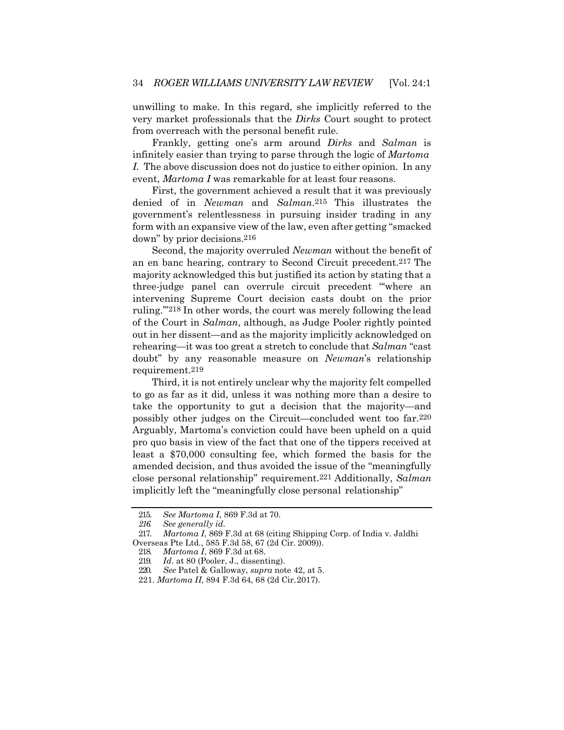unwilling to make. In this regard, she implicitly referred to the very market professionals that the *Dirks* Court sought to protect from overreach with the personal benefit rule.

Frankly, getting one's arm around *Dirks* and *Salman* is infinitely easier than trying to parse through the logic of *Martoma I.* The above discussion does not do justice to either opinion. In any event, *Martoma I* was remarkable for at least four reasons.

First, the government achieved a result that it was previously denied of in *Newman* and *Salman*.215 This illustrates the government's relentlessness in pursuing insider trading in any form with an expansive view of the law, even after getting "smacked down" by prior decisions.216

Second, the majority overruled *Newman* without the benefit of an en banc hearing, contrary to Second Circuit precedent.217 The majority acknowledged this but justified its action by stating that a three-judge panel can overrule circuit precedent "'where an intervening Supreme Court decision casts doubt on the prior ruling.'"218 In other words, the court was merely following the lead of the Court in *Salman*, although, as Judge Pooler rightly pointed out in her dissent—and as the majority implicitly acknowledged on rehearing—it was too great a stretch to conclude that *Salman* "cast doubt" by any reasonable measure on *Newman*'s relationship requirement.219

Third, it is not entirely unclear why the majority felt compelled to go as far as it did, unless it was nothing more than a desire to take the opportunity to gut a decision that the majority—and possibly other judges on the Circuit—concluded went too far.220 Arguably, Martoma's conviction could have been upheld on a quid pro quo basis in view of the fact that one of the tippers received at least a \$70,000 consulting fee, which formed the basis for the amended decision, and thus avoided the issue of the "meaningfully close personal relationship" requirement.221 Additionally, *Salman*  implicitly left the "meaningfully close personal relationship"

<sup>215.</sup> *See Martoma I*, 869 F.3d at 70.

*<sup>216.</sup> See generally id.*

<sup>217.</sup> *Martoma I*, 869 F.3d at 68 (citing Shipping Corp. of India v. Jaldhi Overseas Pte Ltd*.*, 585 F.3d 58, 67 (2d Cir. 2009)).

<sup>218.</sup> *Martoma I*, 869 F.3d at 68.

<sup>219.</sup> *Id.* at 80 (Pooler, J., dissenting).<br>220 See Patel & Galloway, supra not See Patel & Galloway, *supra* note 42, at 5.

<sup>221.</sup> *Martoma II*, 894 F.3d 64, 68 (2d Cir.2017).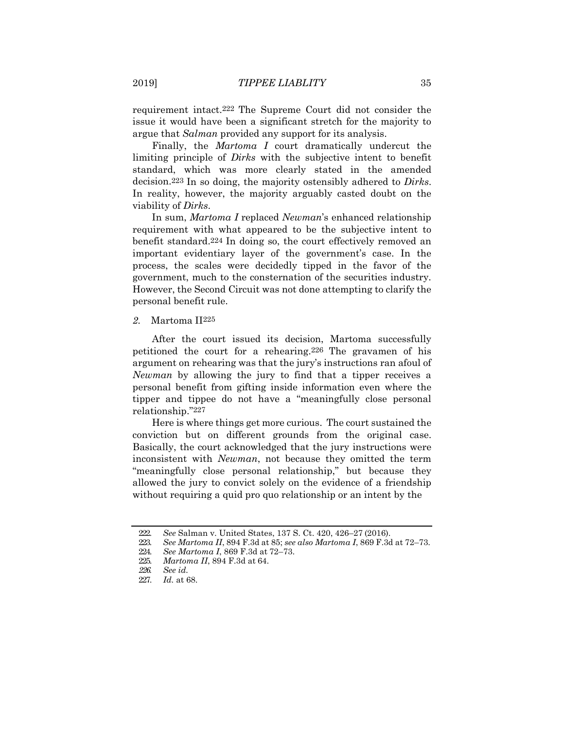requirement intact.222 The Supreme Court did not consider the issue it would have been a significant stretch for the majority to argue that *Salman* provided any support for its analysis.

Finally, the *Martoma I* court dramatically undercut the limiting principle of *Dirks* with the subjective intent to benefit standard, which was more clearly stated in the amended decision.223 In so doing, the majority ostensibly adhered to *Dirks*. In reality, however, the majority arguably casted doubt on the viability of *Dirks*.

In sum, *Martoma I* replaced *Newman*'s enhanced relationship requirement with what appeared to be the subjective intent to benefit standard.224 In doing so, the court effectively removed an important evidentiary layer of the government's case. In the process, the scales were decidedly tipped in the favor of the government, much to the consternation of the securities industry. However, the Second Circuit was not done attempting to clarify the personal benefit rule.

*2.* Martoma II225

After the court issued its decision, Martoma successfully petitioned the court for a rehearing.226 The gravamen of his argument on rehearing was that the jury's instructions ran afoul of *Newman* by allowing the jury to find that a tipper receives a personal benefit from gifting inside information even where the tipper and tippee do not have a "meaningfully close personal relationship."227

Here is where things get more curious. The court sustained the conviction but on different grounds from the original case. Basically, the court acknowledged that the jury instructions were inconsistent with *Newman*, not because they omitted the term "meaningfully close personal relationship," but because they allowed the jury to convict solely on the evidence of a friendship without requiring a quid pro quo relationship or an intent by the

<sup>222.</sup> *See* Salman v. United States, 137 S. Ct. 420, 426–27 (2016).

<sup>223.</sup> *See Martoma II*, 894 F.3d at 85; *see also Martoma I*, 869 F.3d at 72–73.

<sup>224.</sup> *See Martoma I*, 869 F.3d at 72–73.

<sup>225.</sup> *Martoma II*, 894 F.3d at 64.

*<sup>226.</sup> See id.*

<sup>227.</sup> *Id.* at 68.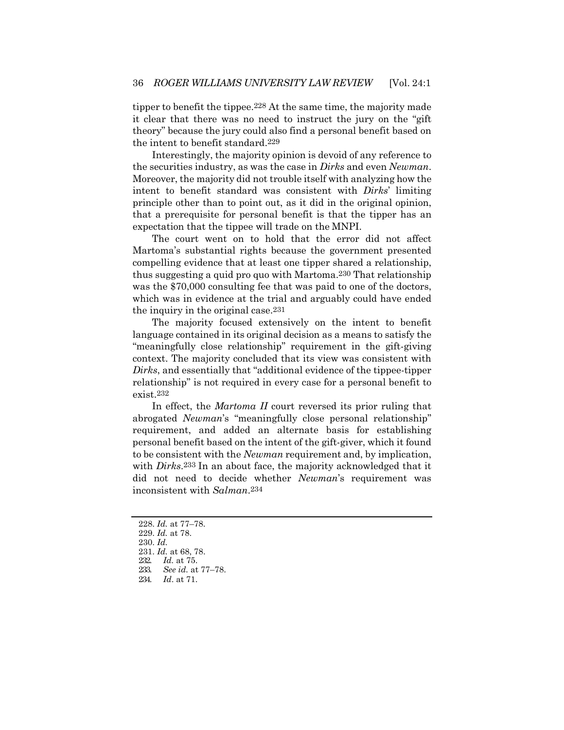tipper to benefit the tippee.228 At the same time, the majority made it clear that there was no need to instruct the jury on the "gift theory" because the jury could also find a personal benefit based on the intent to benefit standard.229

Interestingly, the majority opinion is devoid of any reference to the securities industry, as was the case in *Dirks* and even *Newman*. Moreover, the majority did not trouble itself with analyzing how the intent to benefit standard was consistent with *Dirks*' limiting principle other than to point out, as it did in the original opinion, that a prerequisite for personal benefit is that the tipper has an expectation that the tippee will trade on the MNPI.

The court went on to hold that the error did not affect Martoma's substantial rights because the government presented compelling evidence that at least one tipper shared a relationship, thus suggesting a quid pro quo with Martoma.230 That relationship was the \$70,000 consulting fee that was paid to one of the doctors, which was in evidence at the trial and arguably could have ended the inquiry in the original case.231

The majority focused extensively on the intent to benefit language contained in its original decision as a means to satisfy the "meaningfully close relationship" requirement in the gift-giving context. The majority concluded that its view was consistent with *Dirks*, and essentially that "additional evidence of the tippee-tipper relationship" is not required in every case for a personal benefit to exist.232

In effect, the *Martoma II* court reversed its prior ruling that abrogated *Newman*'s "meaningfully close personal relationship" requirement, and added an alternate basis for establishing personal benefit based on the intent of the gift-giver, which it found to be consistent with the *Newman* requirement and, by implication, with *Dirks*.233 In an about face, the majority acknowledged that it did not need to decide whether *Newman*'s requirement was inconsistent with *Salman*.234

<sup>228.</sup> *Id.* at 77–78. 229. *Id.* at 78. 230. *Id.* 231. *Id.* at 68, 78. 232. *Id.* at 75. 233. *See id.* at 77–78.

<sup>234.</sup> *Id*. at 71.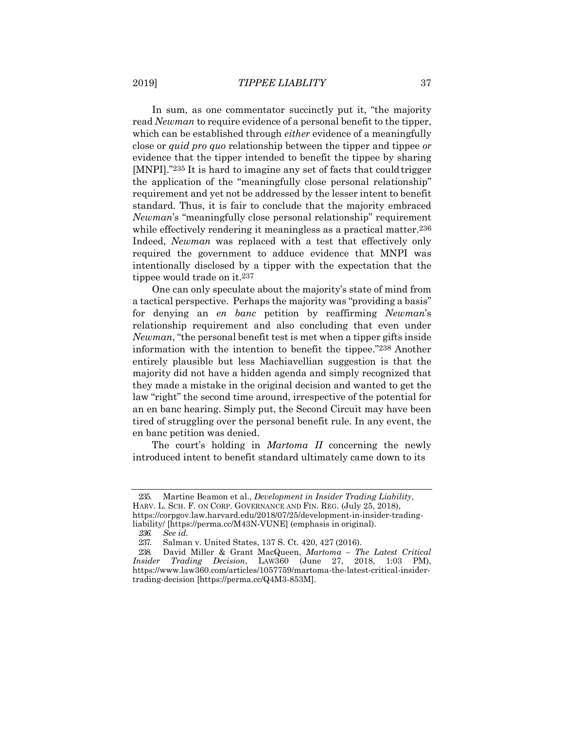In sum, as one commentator succinctly put it, "the majority read *Newman* to require evidence of a personal benefit to the tipper, which can be established through *either* evidence of a meaningfully close or *quid pro quo* relationship between the tipper and tippee *or*  evidence that the tipper intended to benefit the tippee by sharing [MNPI]."235 It is hard to imagine any set of facts that couldtrigger the application of the "meaningfully close personal relationship" requirement and yet not be addressed by the lesser intent to benefit standard. Thus, it is fair to conclude that the majority embraced *Newman*'s "meaningfully close personal relationship" requirement while effectively rendering it meaningless as a practical matter.<sup>236</sup> Indeed, *Newman* was replaced with a test that effectively only required the government to adduce evidence that MNPI was intentionally disclosed by a tipper with the expectation that the tippee would trade on it.237

One can only speculate about the majority's state of mind from a tactical perspective. Perhaps the majority was "providing a basis" for denying an *en banc* petition by reaffirming *Newman*'s relationship requirement and also concluding that even under *Newman*, "the personal benefit test is met when a tipper gifts inside information with the intention to benefit the tippee."238 Another entirely plausible but less Machiavellian suggestion is that the majority did not have a hidden agenda and simply recognized that they made a mistake in the original decision and wanted to get the law "right" the second time around, irrespective of the potential for an en banc hearing. Simply put, the Second Circuit may have been tired of struggling over the personal benefit rule. In any event, the en banc petition was denied.

The court's holding in *Martoma II* concerning the newly introduced intent to benefit standard ultimately came down to its

<sup>235.</sup> Martine Beamon et al., *Development in Insider Trading Liability*, HARV. L. SCH. F. ON CORP. GOVERNANCE AND FIN. REG. (July 25, 2018), https://corpgov.law.harvard.edu/2018/07/25/development-in-insider-tradingliability/ [https://perma.cc/M43N-VUNE] (emphasis in original).

*<sup>236.</sup> See id.*

<sup>237.</sup> Salman v. United States, 137 S. Ct. 420, 427 (2016).

<sup>238.</sup> David Miller & Grant MacQueen, *Martoma – The Latest Critical Insider Trading Decision*, LAW360 (June 27, 2018, 1:03 PM), [https://www.law360.com/articles/1057759/martoma-the-latest-critical-insider](http://www.law360.com/articles/1057759/martoma-the-latest-critical-insider-)trading-decision [https://perma.cc/Q4M3-853M].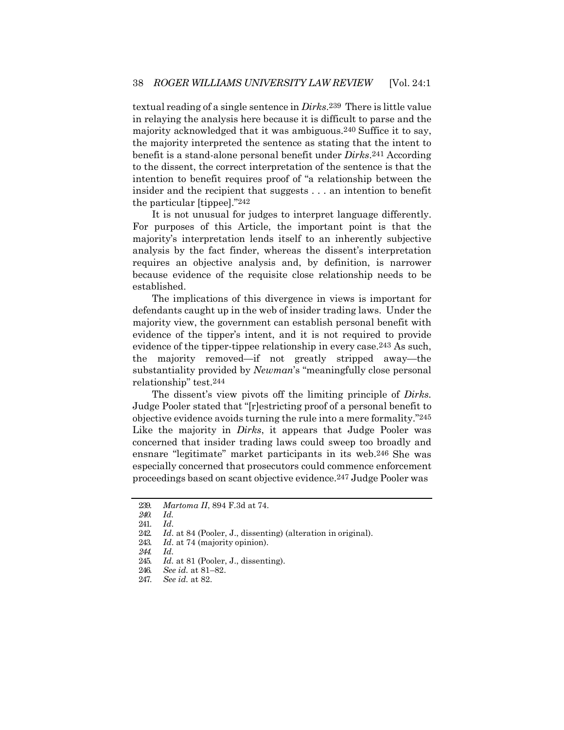textual reading of a single sentence in *Dirks*.239 There is little value in relaying the analysis here because it is difficult to parse and the majority acknowledged that it was ambiguous.240 Suffice it to say, the majority interpreted the sentence as stating that the intent to benefit is a stand-alone personal benefit under *Dirks*.241 According to the dissent, the correct interpretation of the sentence is that the intention to benefit requires proof of "a relationship between the insider and the recipient that suggests . . . an intention to benefit the particular [tippee]."242

It is not unusual for judges to interpret language differently. For purposes of this Article, the important point is that the majority's interpretation lends itself to an inherently subjective analysis by the fact finder, whereas the dissent's interpretation requires an objective analysis and, by definition, is narrower because evidence of the requisite close relationship needs to be established.

The implications of this divergence in views is important for defendants caught up in the web of insider trading laws. Under the majority view, the government can establish personal benefit with evidence of the tipper's intent, and it is not required to provide evidence of the tipper-tippee relationship in every case.243 As such, the majority removed—if not greatly stripped away—the substantiality provided by *Newman*'s "meaningfully close personal relationship" test.244

The dissent's view pivots off the limiting principle of *Dirks.*  Judge Pooler stated that "[r]estricting proof of a personal benefit to objective evidence avoids turning the rule into a mere formality."245 Like the majority in *Dirks*, it appears that Judge Pooler was concerned that insider trading laws could sweep too broadly and ensnare "legitimate" market participants in its web.246 She was especially concerned that prosecutors could commence enforcement proceedings based on scant objective evidence.247 Judge Pooler was

<sup>239.</sup> *Martoma II*, 894 F.3d at 74.

*<sup>240.</sup> Id.*

<sup>241.</sup> *Id*.

<sup>242.</sup> *Id*. at 84 (Pooler, J., dissenting) (alteration in original).

<sup>243.</sup> *Id*. at 74 (majority opinion).

*<sup>244.</sup> Id.*

<sup>245.</sup> *Id.* at 81 (Pooler, J., dissenting).

<sup>246.</sup> *See id.* at 81–82.

<sup>247.</sup> *See id.* at 82.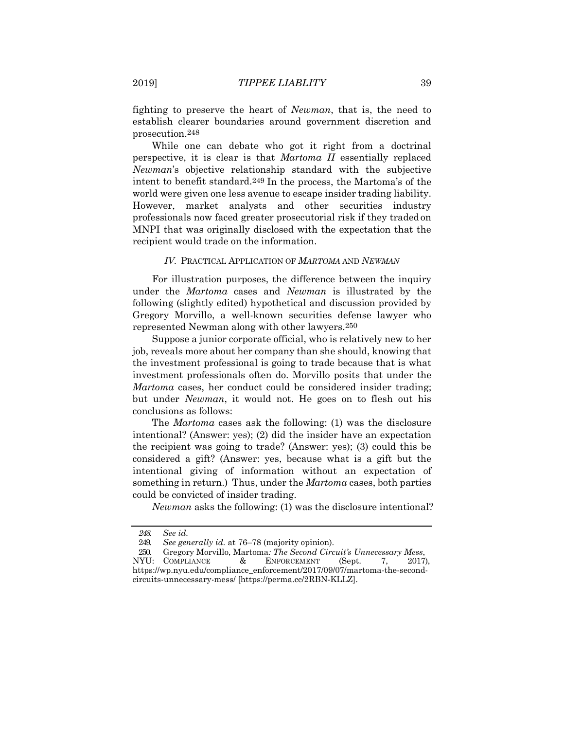fighting to preserve the heart of *Newman*, that is, the need to establish clearer boundaries around government discretion and prosecution.248

While one can debate who got it right from a doctrinal perspective, it is clear is that *Martoma II* essentially replaced *Newman*'s objective relationship standard with the subjective intent to benefit standard.249 In the process, the Martoma's of the world were given one less avenue to escape insider trading liability. However, market analysts and other securities industry professionals now faced greater prosecutorial risk if they tradedon MNPI that was originally disclosed with the expectation that the recipient would trade on the information.

#### *IV.* PRACTICAL APPLICATION OF *MARTOMA* AND *NEWMAN*

For illustration purposes, the difference between the inquiry under the *Martoma* cases and *Newman* is illustrated by the following (slightly edited) hypothetical and discussion provided by Gregory Morvillo, a well-known securities defense lawyer who represented Newman along with other lawyers.250

Suppose a junior corporate official, who is relatively new to her job, reveals more about her company than she should, knowing that the investment professional is going to trade because that is what investment professionals often do. Morvillo posits that under the *Martoma* cases, her conduct could be considered insider trading; but under *Newman*, it would not. He goes on to flesh out his conclusions as follows:

The *Martoma* cases ask the following: (1) was the disclosure intentional? (Answer: yes); (2) did the insider have an expectation the recipient was going to trade? (Answer: yes); (3) could this be considered a gift? (Answer: yes, because what is a gift but the intentional giving of information without an expectation of something in return.) Thus, under the *Martoma* cases, both parties could be convicted of insider trading.

*Newman* asks the following: (1) was the disclosure intentional?

*<sup>248.</sup> See id.*

<sup>249.</sup> *See generally id.* at 76–78 (majority opinion).

<sup>250.</sup> Gregory Morvillo, Martoma*: The Second Circuit's Unnecessary Mess*,

NYU: COMPLIANCE & ENFORCEMENT (Sept. 7, 2017), https://wp.nyu.edu/compliance\_enforcement/2017/09/07/martoma-the-secondcircuits-unnecessary-mess/ [https://perma.cc/2RBN-KLLZ].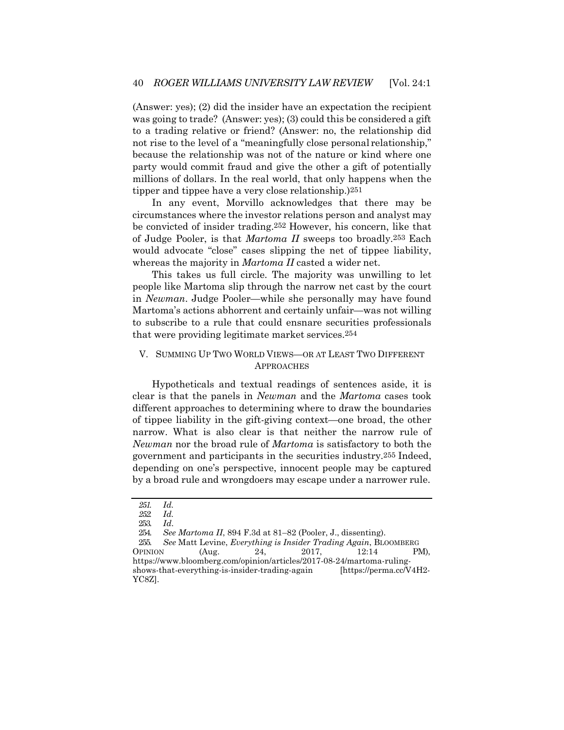(Answer: yes); (2) did the insider have an expectation the recipient was going to trade? (Answer: yes); (3) could this be considered a gift to a trading relative or friend? (Answer: no, the relationship did not rise to the level of a "meaningfully close personal relationship," because the relationship was not of the nature or kind where one party would commit fraud and give the other a gift of potentially millions of dollars. In the real world, that only happens when the tipper and tippee have a very close relationship.)251

In any event, Morvillo acknowledges that there may be circumstances where the investor relations person and analyst may be convicted of insider trading.252 However, his concern, like that of Judge Pooler, is that *Martoma II* sweeps too broadly.253 Each would advocate "close" cases slipping the net of tippee liability, whereas the majority in *Martoma II* casted a wider net.

This takes us full circle. The majority was unwilling to let people like Martoma slip through the narrow net cast by the court in *Newman*. Judge Pooler—while she personally may have found Martoma's actions abhorrent and certainly unfair—was not willing to subscribe to a rule that could ensnare securities professionals that were providing legitimate market services.254

#### V. SUMMING UP TWO WORLD VIEWS—OR AT LEAST TWO DIFFERENT APPROACHES

Hypotheticals and textual readings of sentences aside, it is clear is that the panels in *Newman* and the *Martoma* cases took different approaches to determining where to draw the boundaries of tippee liability in the gift-giving context—one broad, the other narrow. What is also clear is that neither the narrow rule of *Newman* nor the broad rule of *Martoma* is satisfactory to both the government and participants in the securities industry.255 Indeed, depending on one's perspective, innocent people may be captured by a broad rule and wrongdoers may escape under a narrower rule.

*<sup>251.</sup> Id.*

*<sup>252.</sup> Id.*

<sup>253.</sup> *Id*.

<sup>254.</sup> *See Martoma II*, 894 F.3d at 81–82 (Pooler, J., dissenting).

<sup>255.</sup> *See* Matt Levine, *Everything is Insider Trading Again*, BLOOMBERG OPINION (Aug. 24, 2017, 12:14 PM), [https://www.bloomberg.com/opinion/articles/2017-08-24/martoma-ruling](http://www.bloomberg.com/opinion/articles/2017-08-24/martoma-ruling-)shows-that-everything-is-insider-trading-again [https://perma.cc/V4H2- YC8Z].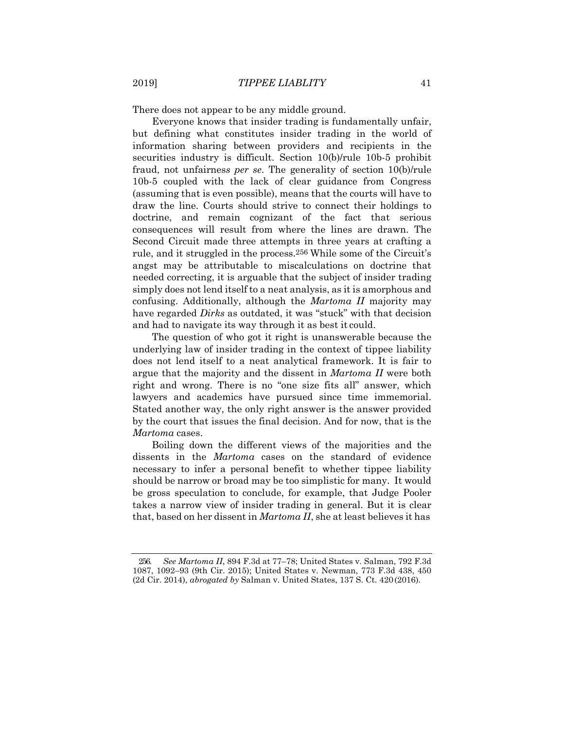There does not appear to be any middle ground.

Everyone knows that insider trading is fundamentally unfair, but defining what constitutes insider trading in the world of information sharing between providers and recipients in the securities industry is difficult. Section 10(b)/rule 10b-5 prohibit fraud, not unfairnes*s per se*. The generality of section 10(b)/rule 10b-5 coupled with the lack of clear guidance from Congress (assuming that is even possible), means that the courts will have to draw the line. Courts should strive to connect their holdings to doctrine, and remain cognizant of the fact that serious consequences will result from where the lines are drawn. The Second Circuit made three attempts in three years at crafting a rule, and it struggled in the process.256 While some of the Circuit's angst may be attributable to miscalculations on doctrine that needed correcting, it is arguable that the subject of insider trading simply does not lend itself to a neat analysis, as it is amorphous and confusing. Additionally, although the *Martoma II* majority may have regarded *Dirks* as outdated, it was "stuck" with that decision and had to navigate its way through it as best it could.

The question of who got it right is unanswerable because the underlying law of insider trading in the context of tippee liability does not lend itself to a neat analytical framework. It is fair to argue that the majority and the dissent in *Martoma II* were both right and wrong. There is no "one size fits all" answer, which lawyers and academics have pursued since time immemorial. Stated another way, the only right answer is the answer provided by the court that issues the final decision. And for now, that is the *Martoma* cases.

Boiling down the different views of the majorities and the dissents in the *Martoma* cases on the standard of evidence necessary to infer a personal benefit to whether tippee liability should be narrow or broad may be too simplistic for many. It would be gross speculation to conclude, for example, that Judge Pooler takes a narrow view of insider trading in general. But it is clear that, based on her dissent in *Martoma II*, she at least believes it has

<sup>256.</sup> *See Martoma II*, 894 F.3d at 77–78; United States v. Salman, 792 F.3d 1087, 1092–93 (9th Cir. 2015); United States v. Newman, 773 F.3d 438, 450 (2d Cir. 2014), *abrogated by* Salman v. United States, 137 S. Ct. 420(2016).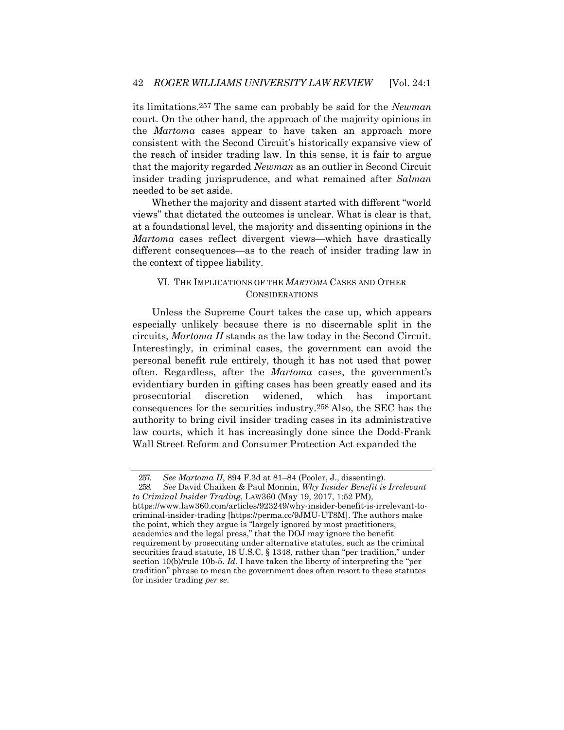its limitations.257 The same can probably be said for the *Newman*  court. On the other hand, the approach of the majority opinions in the *Martoma* cases appear to have taken an approach more consistent with the Second Circuit's historically expansive view of the reach of insider trading law. In this sense, it is fair to argue that the majority regarded *Newman* as an outlier in Second Circuit insider trading jurisprudence, and what remained after *Salman*  needed to be set aside.

Whether the majority and dissent started with different "world views" that dictated the outcomes is unclear. What is clear is that, at a foundational level, the majority and dissenting opinions in the *Martoma* cases reflect divergent views—which have drastically different consequences—as to the reach of insider trading law in the context of tippee liability.

#### VI. THE IMPLICATIONS OF THE *MARTOMA* CASES AND OTHER CONSIDERATIONS

Unless the Supreme Court takes the case up, which appears especially unlikely because there is no discernable split in the circuits, *Martoma II* stands as the law today in the Second Circuit. Interestingly, in criminal cases, the government can avoid the personal benefit rule entirely, though it has not used that power often. Regardless, after the *Martoma* cases, the government's evidentiary burden in gifting cases has been greatly eased and its prosecutorial discretion widened, which has important consequences for the securities industry.258 Also, the SEC has the authority to bring civil insider trading cases in its administrative law courts, which it has increasingly done since the Dodd-Frank Wall Street Reform and Consumer Protection Act expanded the

<sup>257.</sup> *See Martoma II*, 894 F.3d at 81–84 (Pooler, J., dissenting).

<sup>258.</sup> *See* David Chaiken & Paul Monnin, *Why Insider Benefit is Irrelevant to Criminal Insider Trading*, LAW360 (May 19, 2017, 1:52 PM),

[https://www.law360.com/articles/923249/why-insider-benefit-is-irrelevant-to](http://www.law360.com/articles/923249/why-insider-benefit-is-irrelevant-to-)criminal-insider-trading [https://perma.cc/9JMU-UT8M]. The authors make the point, which they argue is "largely ignored by most practitioners, academics and the legal press," that the DOJ may ignore the benefit requirement by prosecuting under alternative statutes, such as the criminal securities fraud statute, 18 U.S.C. § 1348, rather than "per tradition," under section 10(b)/rule 10b-5. *Id.* I have taken the liberty of interpreting the "per tradition" phrase to mean the government does often resort to these statutes for insider trading *per se*.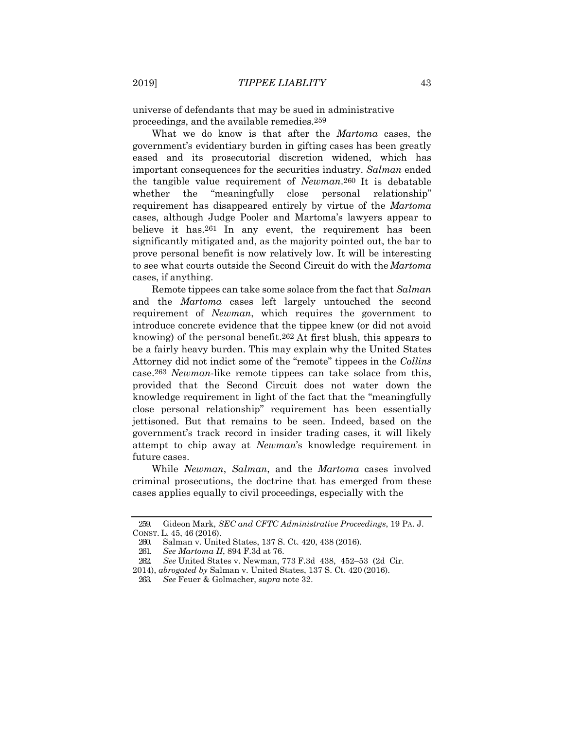universe of defendants that may be sued in administrative proceedings, and the available remedies.259

What we do know is that after the *Martoma* cases, the government's evidentiary burden in gifting cases has been greatly eased and its prosecutorial discretion widened, which has important consequences for the securities industry. *Salman* ended the tangible value requirement of *Newman*.260 It is debatable whether the "meaningfully close personal relationship" requirement has disappeared entirely by virtue of the *Martoma*  cases, although Judge Pooler and Martoma's lawyers appear to believe it has.261 In any event, the requirement has been significantly mitigated and, as the majority pointed out, the bar to prove personal benefit is now relatively low. It will be interesting to see what courts outside the Second Circuit do with the*Martoma*  cases, if anything.

Remote tippees can take some solace from the fact that *Salman*  and the *Martoma* cases left largely untouched the second requirement of *Newman*, which requires the government to introduce concrete evidence that the tippee knew (or did not avoid knowing) of the personal benefit.262 At first blush, this appears to be a fairly heavy burden. This may explain why the United States Attorney did not indict some of the "remote" tippees in the *Collins*  case.263 *Newman*-like remote tippees can take solace from this, provided that the Second Circuit does not water down the knowledge requirement in light of the fact that the "meaningfully close personal relationship" requirement has been essentially jettisoned. But that remains to be seen. Indeed, based on the government's track record in insider trading cases, it will likely attempt to chip away at *Newman*'s knowledge requirement in future cases.

While *Newman*, *Salman*, and the *Martoma* cases involved criminal prosecutions, the doctrine that has emerged from these cases applies equally to civil proceedings, especially with the

<sup>259.</sup> Gideon Mark, *SEC and CFTC Administrative Proceedings*, 19 PA. J. CONST. L. 45, 46 (2016).

<sup>260.</sup> Salman v. United States, 137 S. Ct. 420, 438 (2016).

<sup>261.</sup> *See Martoma II*, 894 F.3d at 76.

<sup>262.</sup> *See* United States v. Newman, 773 F.3d 438, 452–53 (2d Cir.

<sup>2014),</sup> *abrogated by* Salman v. United States, 137 S. Ct. 420 (2016).

<sup>263.</sup> *See* Feuer & Golmacher, *supra* note 32.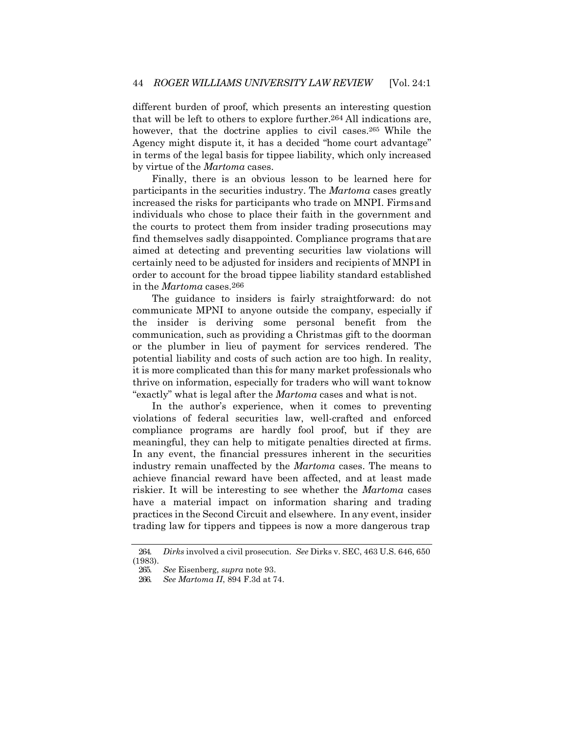different burden of proof, which presents an interesting question that will be left to others to explore further.264 All indications are, however, that the doctrine applies to civil cases.265 While the Agency might dispute it, it has a decided "home court advantage" in terms of the legal basis for tippee liability, which only increased by virtue of the *Martoma* cases.

Finally, there is an obvious lesson to be learned here for participants in the securities industry. The *Martoma* cases greatly increased the risks for participants who trade on MNPI. Firmsand individuals who chose to place their faith in the government and the courts to protect them from insider trading prosecutions may find themselves sadly disappointed. Compliance programs thatare aimed at detecting and preventing securities law violations will certainly need to be adjusted for insiders and recipients of MNPI in order to account for the broad tippee liability standard established in the *Martoma* cases.266

The guidance to insiders is fairly straightforward: do not communicate MPNI to anyone outside the company, especially if the insider is deriving some personal benefit from the communication, such as providing a Christmas gift to the doorman or the plumber in lieu of payment for services rendered. The potential liability and costs of such action are too high. In reality, it is more complicated than this for many market professionals who thrive on information, especially for traders who will want toknow "exactly" what is legal after the *Martoma* cases and what is not.

In the author's experience, when it comes to preventing violations of federal securities law, well-crafted and enforced compliance programs are hardly fool proof, but if they are meaningful, they can help to mitigate penalties directed at firms. In any event, the financial pressures inherent in the securities industry remain unaffected by the *Martoma* cases. The means to achieve financial reward have been affected, and at least made riskier. It will be interesting to see whether the *Martoma* cases have a material impact on information sharing and trading practices in the Second Circuit and elsewhere. In any event, insider trading law for tippers and tippees is now a more dangerous trap

<sup>264.</sup> *Dirks* involved a civil prosecution. *See* Dirks v. SEC, 463 U.S. 646, 650 (1983).

<sup>265.</sup> *See* Eisenberg, *supra* note 93.

<sup>266.</sup> *See Martoma II*, 894 F.3d at 74.